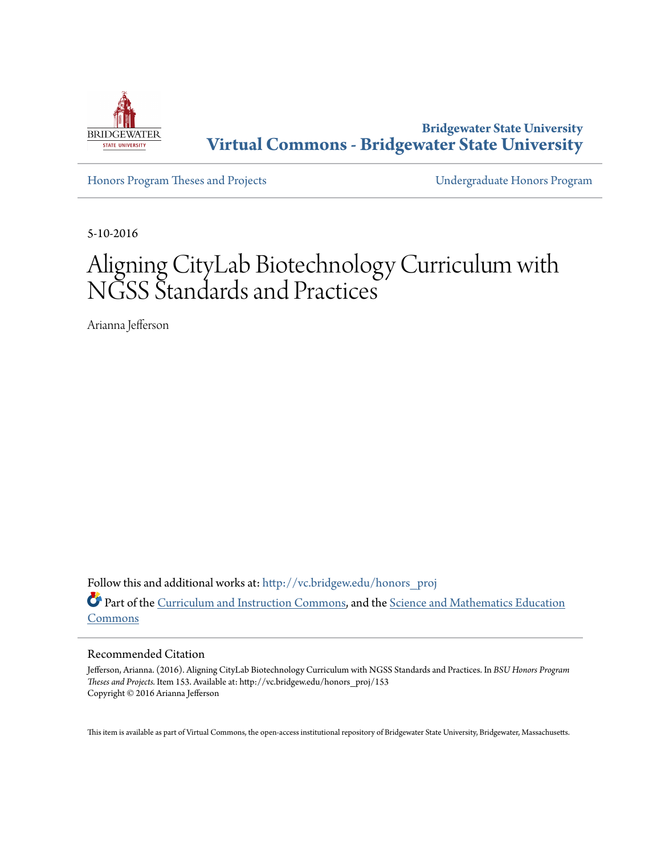

**Bridgewater State University [Virtual Commons - Bridgewater State University](http://vc.bridgew.edu?utm_source=vc.bridgew.edu%2Fhonors_proj%2F153&utm_medium=PDF&utm_campaign=PDFCoverPages)**

[Honors Program Theses and Projects](http://vc.bridgew.edu/honors_proj?utm_source=vc.bridgew.edu%2Fhonors_proj%2F153&utm_medium=PDF&utm_campaign=PDFCoverPages) [Undergraduate Honors Program](http://vc.bridgew.edu/honors?utm_source=vc.bridgew.edu%2Fhonors_proj%2F153&utm_medium=PDF&utm_campaign=PDFCoverPages)

5-10-2016

# Aligning CityLab Biotechnology Curriculum with NGSS Standards and Practices

Arianna Jefferson

Follow this and additional works at: [http://vc.bridgew.edu/honors\\_proj](http://vc.bridgew.edu/honors_proj?utm_source=vc.bridgew.edu%2Fhonors_proj%2F153&utm_medium=PDF&utm_campaign=PDFCoverPages) Part of the [Curriculum and Instruction Commons](http://network.bepress.com/hgg/discipline/786?utm_source=vc.bridgew.edu%2Fhonors_proj%2F153&utm_medium=PDF&utm_campaign=PDFCoverPages), and the [Science and Mathematics Education](http://network.bepress.com/hgg/discipline/800?utm_source=vc.bridgew.edu%2Fhonors_proj%2F153&utm_medium=PDF&utm_campaign=PDFCoverPages) [Commons](http://network.bepress.com/hgg/discipline/800?utm_source=vc.bridgew.edu%2Fhonors_proj%2F153&utm_medium=PDF&utm_campaign=PDFCoverPages)

#### Recommended Citation

Jefferson, Arianna. (2016). Aligning CityLab Biotechnology Curriculum with NGSS Standards and Practices. In *BSU Honors Program Theses and Projects.* Item 153. Available at: http://vc.bridgew.edu/honors\_proj/153 Copyright © 2016 Arianna Jefferson

This item is available as part of Virtual Commons, the open-access institutional repository of Bridgewater State University, Bridgewater, Massachusetts.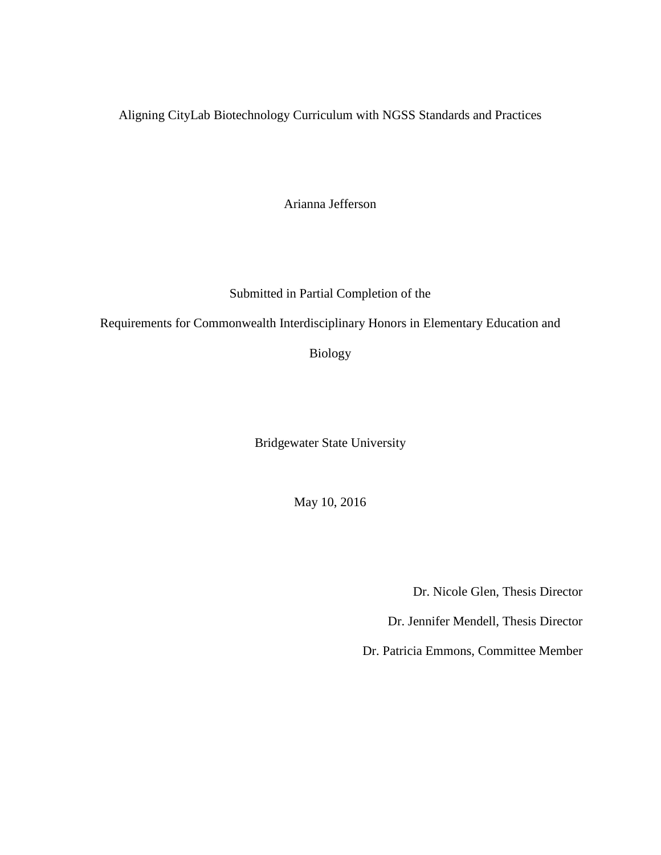Aligning CityLab Biotechnology Curriculum with NGSS Standards and Practices

Arianna Jefferson

Submitted in Partial Completion of the

Requirements for Commonwealth Interdisciplinary Honors in Elementary Education and

Biology

Bridgewater State University

May 10, 2016

Dr. Nicole Glen, Thesis Director

Dr. Jennifer Mendell, Thesis Director

Dr. Patricia Emmons, Committee Member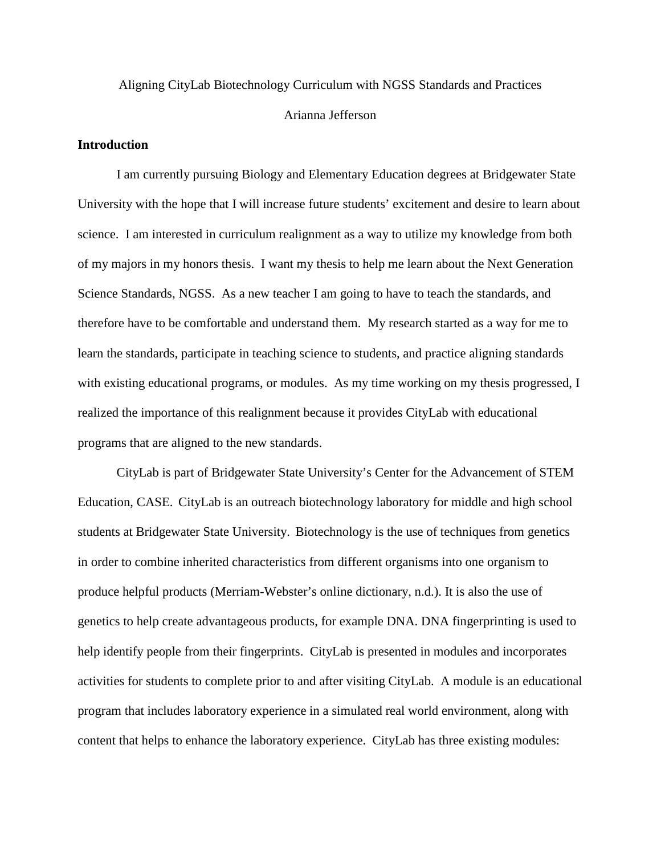# Aligning CityLab Biotechnology Curriculum with NGSS Standards and Practices Arianna Jefferson

## **Introduction**

I am currently pursuing Biology and Elementary Education degrees at Bridgewater State University with the hope that I will increase future students' excitement and desire to learn about science. I am interested in curriculum realignment as a way to utilize my knowledge from both of my majors in my honors thesis. I want my thesis to help me learn about the Next Generation Science Standards, NGSS. As a new teacher I am going to have to teach the standards, and therefore have to be comfortable and understand them. My research started as a way for me to learn the standards, participate in teaching science to students, and practice aligning standards with existing educational programs, or modules. As my time working on my thesis progressed, I realized the importance of this realignment because it provides CityLab with educational programs that are aligned to the new standards.

CityLab is part of Bridgewater State University's Center for the Advancement of STEM Education, CASE. CityLab is an outreach biotechnology laboratory for middle and high school students at Bridgewater State University. Biotechnology is the use of techniques from genetics in order to combine inherited characteristics from different organisms into one organism to produce helpful products (Merriam-Webster's online dictionary, n.d.). It is also the use of genetics to help create advantageous products, for example DNA. DNA fingerprinting is used to help identify people from their fingerprints. CityLab is presented in modules and incorporates activities for students to complete prior to and after visiting CityLab. A module is an educational program that includes laboratory experience in a simulated real world environment, along with content that helps to enhance the laboratory experience. CityLab has three existing modules: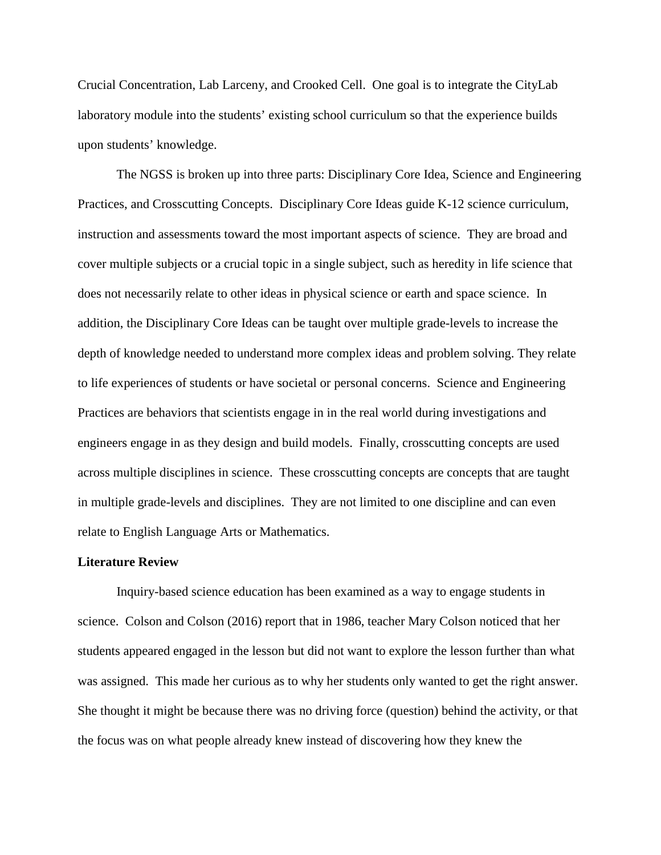Crucial Concentration, Lab Larceny, and Crooked Cell. One goal is to integrate the CityLab laboratory module into the students' existing school curriculum so that the experience builds upon students' knowledge.

The NGSS is broken up into three parts: Disciplinary Core Idea, Science and Engineering Practices, and Crosscutting Concepts. Disciplinary Core Ideas guide K-12 science curriculum, instruction and assessments toward the most important aspects of science. They are broad and cover multiple subjects or a crucial topic in a single subject, such as heredity in life science that does not necessarily relate to other ideas in physical science or earth and space science. In addition, the Disciplinary Core Ideas can be taught over multiple grade-levels to increase the depth of knowledge needed to understand more complex ideas and problem solving. They relate to life experiences of students or have societal or personal concerns. Science and Engineering Practices are behaviors that scientists engage in in the real world during investigations and engineers engage in as they design and build models. Finally, crosscutting concepts are used across multiple disciplines in science. These crosscutting concepts are concepts that are taught in multiple grade-levels and disciplines. They are not limited to one discipline and can even relate to English Language Arts or Mathematics.

#### **Literature Review**

Inquiry-based science education has been examined as a way to engage students in science. Colson and Colson (2016) report that in 1986, teacher Mary Colson noticed that her students appeared engaged in the lesson but did not want to explore the lesson further than what was assigned. This made her curious as to why her students only wanted to get the right answer. She thought it might be because there was no driving force (question) behind the activity, or that the focus was on what people already knew instead of discovering how they knew the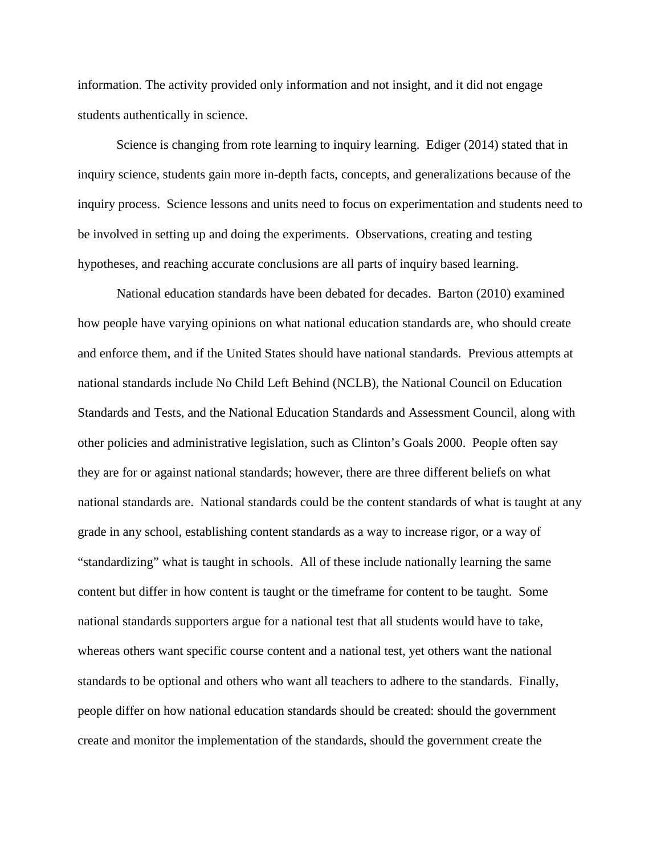information. The activity provided only information and not insight, and it did not engage students authentically in science.

Science is changing from rote learning to inquiry learning. Ediger (2014) stated that in inquiry science, students gain more in-depth facts, concepts, and generalizations because of the inquiry process. Science lessons and units need to focus on experimentation and students need to be involved in setting up and doing the experiments. Observations, creating and testing hypotheses, and reaching accurate conclusions are all parts of inquiry based learning.

National education standards have been debated for decades. Barton (2010) examined how people have varying opinions on what national education standards are, who should create and enforce them, and if the United States should have national standards. Previous attempts at national standards include No Child Left Behind (NCLB), the National Council on Education Standards and Tests, and the National Education Standards and Assessment Council, along with other policies and administrative legislation, such as Clinton's Goals 2000. People often say they are for or against national standards; however, there are three different beliefs on what national standards are. National standards could be the content standards of what is taught at any grade in any school, establishing content standards as a way to increase rigor, or a way of "standardizing" what is taught in schools. All of these include nationally learning the same content but differ in how content is taught or the timeframe for content to be taught. Some national standards supporters argue for a national test that all students would have to take, whereas others want specific course content and a national test, yet others want the national standards to be optional and others who want all teachers to adhere to the standards. Finally, people differ on how national education standards should be created: should the government create and monitor the implementation of the standards, should the government create the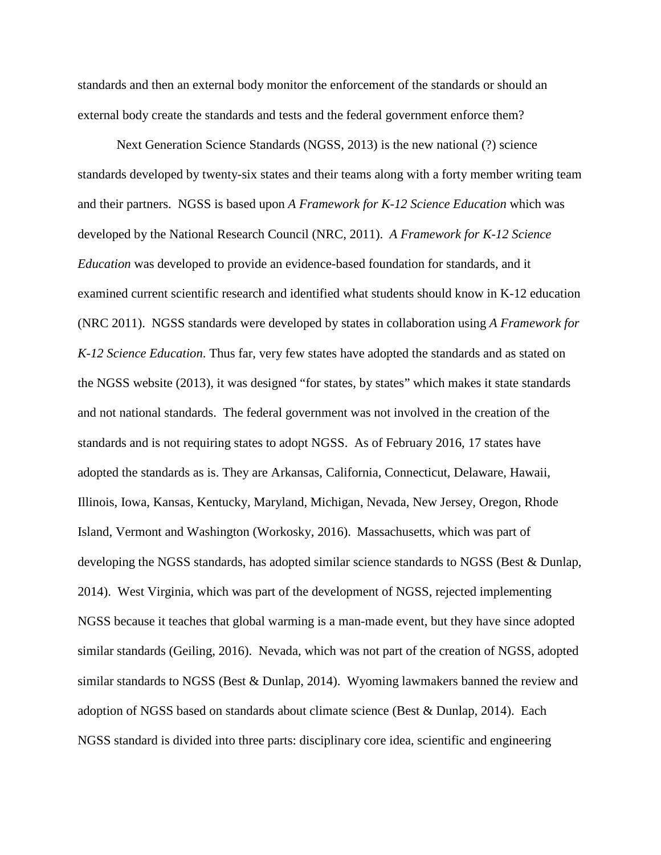standards and then an external body monitor the enforcement of the standards or should an external body create the standards and tests and the federal government enforce them?

Next Generation Science Standards (NGSS, 2013) is the new national (?) science standards developed by twenty-six states and their teams along with a forty member writing team and their partners. NGSS is based upon *A Framework for K-12 Science Education* which was developed by the National Research Council (NRC, 2011). *A Framework for K-12 Science Education* was developed to provide an evidence-based foundation for standards, and it examined current scientific research and identified what students should know in K-12 education (NRC 2011). NGSS standards were developed by states in collaboration using *A Framework for K-12 Science Education*. Thus far, very few states have adopted the standards and as stated on the NGSS website (2013), it was designed "for states, by states" which makes it state standards and not national standards. The federal government was not involved in the creation of the standards and is not requiring states to adopt NGSS. As of February 2016, 17 states have adopted the standards as is. They are Arkansas, California, Connecticut, Delaware, Hawaii, Illinois, Iowa, Kansas, Kentucky, Maryland, Michigan, Nevada, New Jersey, Oregon, Rhode Island, Vermont and Washington (Workosky, 2016). Massachusetts, which was part of developing the NGSS standards, has adopted similar science standards to NGSS (Best & Dunlap, 2014). West Virginia, which was part of the development of NGSS, rejected implementing NGSS because it teaches that global warming is a man-made event, but they have since adopted similar standards (Geiling, 2016). Nevada, which was not part of the creation of NGSS, adopted similar standards to NGSS (Best & Dunlap, 2014). Wyoming lawmakers banned the review and adoption of NGSS based on standards about climate science (Best & Dunlap, 2014). Each NGSS standard is divided into three parts: disciplinary core idea, scientific and engineering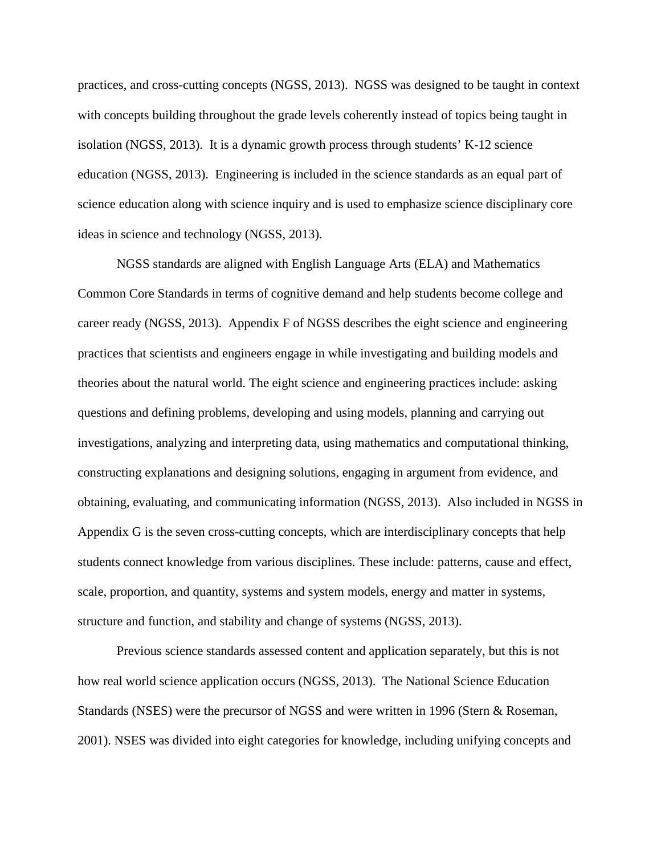practices, and cross-cutting concepts (NGSS, 2013). NGSS was designed to be taught in context with concepts building throughout the grade levels coherently instead of topics being taught in isolation (NGSS, 2013). It is a dynamic growth process through students' K-12 science education (NGSS, 2013). Engineering is included in the science standards as an equal part of science education along with science inquiry and is used to emphasize science disciplinary core ideas in science and technology (NGSS, 2013).

NGSS standards are aligned with English Language Arts (ELA) and Mathematics Common Core Standards in terms of cognitive demand and help students become college and career ready (NGSS, 2013). Appendix F of NGSS describes the eight science and engineering practices that scientists and engineers engage in while investigating and building models and theories about the natural world. The eight science and engineering practices include: asking questions and defining problems, developing and using models, planning and carrying out investigations, analyzing and interpreting data, using mathematics and computational thinking, constructing explanations and designing solutions, engaging in argument from evidence, and obtaining, evaluating, and communicating information (NGSS, 2013). Also included in NGSS in Appendix G is the seven cross-cutting concepts, which are interdisciplinary concepts that help students connect knowledge from various disciplines. These include: patterns, cause and effect, scale, proportion, and quantity, systems and system models, energy and matter in systems, structure and function, and stability and change of systems (NGSS, 2013).

Previous science standards assessed content and application separately, but this is not how real world science application occurs (NGSS, 2013). The National Science Education Standards (NSES) were the precursor of NGSS and were written in 1996 (Stern & Roseman, 2001). NSES was divided into eight categories for knowledge, including unifying concepts and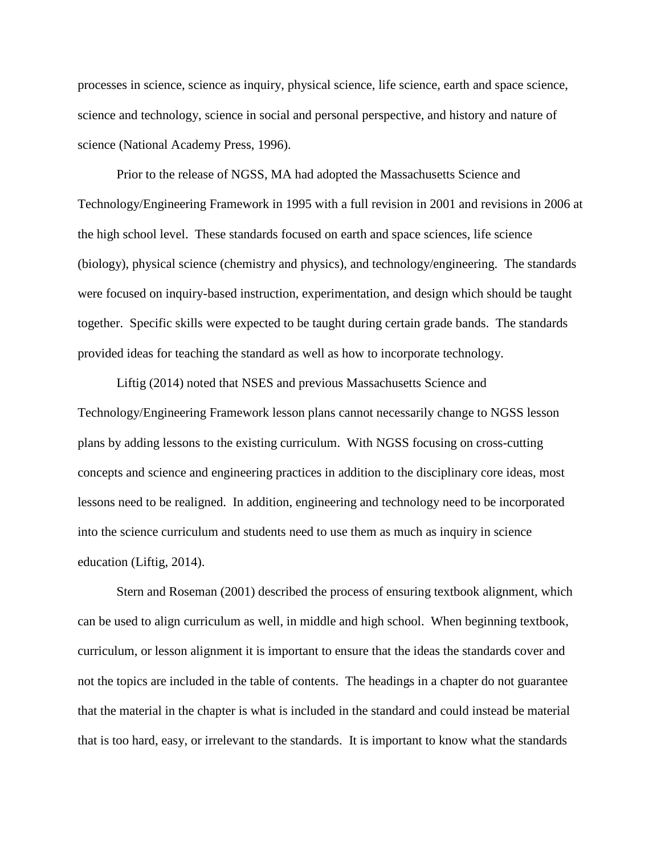processes in science, science as inquiry, physical science, life science, earth and space science, science and technology, science in social and personal perspective, and history and nature of science (National Academy Press, 1996).

Prior to the release of NGSS, MA had adopted the Massachusetts Science and Technology/Engineering Framework in 1995 with a full revision in 2001 and revisions in 2006 at the high school level. These standards focused on earth and space sciences, life science (biology), physical science (chemistry and physics), and technology/engineering. The standards were focused on inquiry-based instruction, experimentation, and design which should be taught together. Specific skills were expected to be taught during certain grade bands. The standards provided ideas for teaching the standard as well as how to incorporate technology.

Liftig (2014) noted that NSES and previous Massachusetts Science and Technology/Engineering Framework lesson plans cannot necessarily change to NGSS lesson plans by adding lessons to the existing curriculum. With NGSS focusing on cross-cutting concepts and science and engineering practices in addition to the disciplinary core ideas, most lessons need to be realigned. In addition, engineering and technology need to be incorporated into the science curriculum and students need to use them as much as inquiry in science education (Liftig, 2014).

Stern and Roseman (2001) described the process of ensuring textbook alignment, which can be used to align curriculum as well, in middle and high school. When beginning textbook, curriculum, or lesson alignment it is important to ensure that the ideas the standards cover and not the topics are included in the table of contents. The headings in a chapter do not guarantee that the material in the chapter is what is included in the standard and could instead be material that is too hard, easy, or irrelevant to the standards. It is important to know what the standards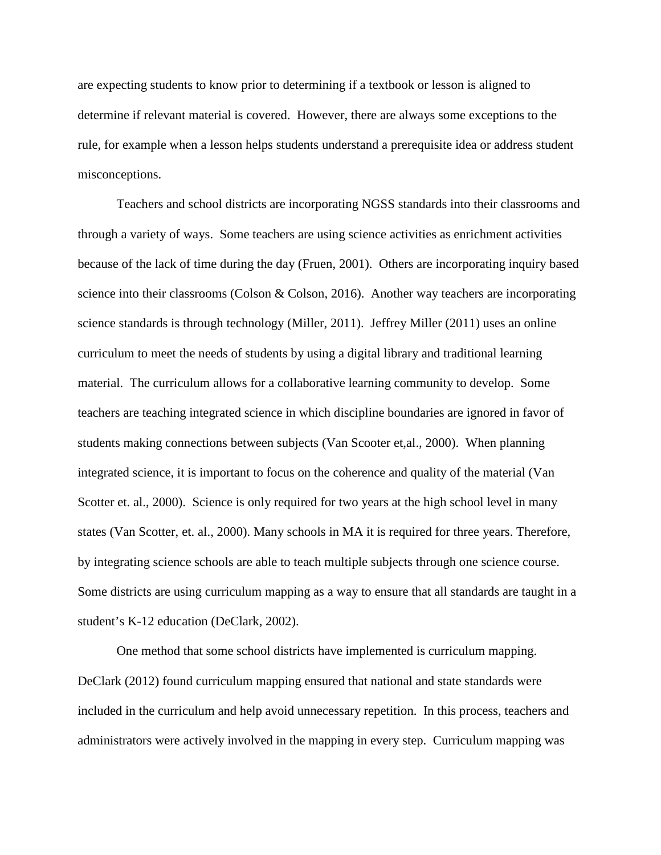are expecting students to know prior to determining if a textbook or lesson is aligned to determine if relevant material is covered. However, there are always some exceptions to the rule, for example when a lesson helps students understand a prerequisite idea or address student misconceptions.

Teachers and school districts are incorporating NGSS standards into their classrooms and through a variety of ways. Some teachers are using science activities as enrichment activities because of the lack of time during the day (Fruen, 2001). Others are incorporating inquiry based science into their classrooms (Colson & Colson, 2016). Another way teachers are incorporating science standards is through technology (Miller, 2011). Jeffrey Miller (2011) uses an online curriculum to meet the needs of students by using a digital library and traditional learning material. The curriculum allows for a collaborative learning community to develop. Some teachers are teaching integrated science in which discipline boundaries are ignored in favor of students making connections between subjects (Van Scooter et,al., 2000). When planning integrated science, it is important to focus on the coherence and quality of the material (Van Scotter et. al., 2000). Science is only required for two years at the high school level in many states (Van Scotter, et. al., 2000). Many schools in MA it is required for three years. Therefore, by integrating science schools are able to teach multiple subjects through one science course. Some districts are using curriculum mapping as a way to ensure that all standards are taught in a student's K-12 education (DeClark, 2002).

One method that some school districts have implemented is curriculum mapping. DeClark (2012) found curriculum mapping ensured that national and state standards were included in the curriculum and help avoid unnecessary repetition. In this process, teachers and administrators were actively involved in the mapping in every step. Curriculum mapping was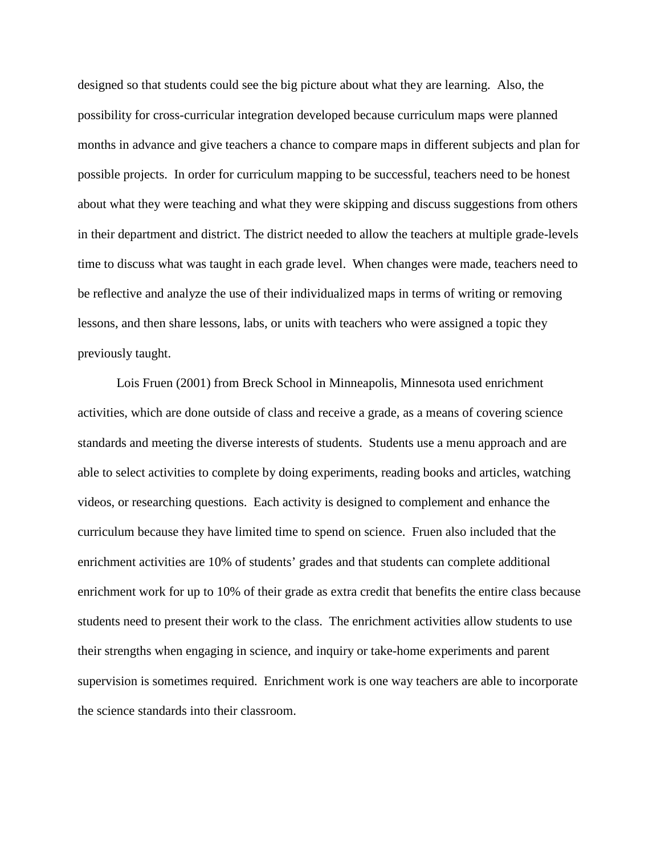designed so that students could see the big picture about what they are learning. Also, the possibility for cross-curricular integration developed because curriculum maps were planned months in advance and give teachers a chance to compare maps in different subjects and plan for possible projects. In order for curriculum mapping to be successful, teachers need to be honest about what they were teaching and what they were skipping and discuss suggestions from others in their department and district. The district needed to allow the teachers at multiple grade-levels time to discuss what was taught in each grade level. When changes were made, teachers need to be reflective and analyze the use of their individualized maps in terms of writing or removing lessons, and then share lessons, labs, or units with teachers who were assigned a topic they previously taught.

Lois Fruen (2001) from Breck School in Minneapolis, Minnesota used enrichment activities, which are done outside of class and receive a grade, as a means of covering science standards and meeting the diverse interests of students. Students use a menu approach and are able to select activities to complete by doing experiments, reading books and articles, watching videos, or researching questions. Each activity is designed to complement and enhance the curriculum because they have limited time to spend on science. Fruen also included that the enrichment activities are 10% of students' grades and that students can complete additional enrichment work for up to 10% of their grade as extra credit that benefits the entire class because students need to present their work to the class. The enrichment activities allow students to use their strengths when engaging in science, and inquiry or take-home experiments and parent supervision is sometimes required. Enrichment work is one way teachers are able to incorporate the science standards into their classroom.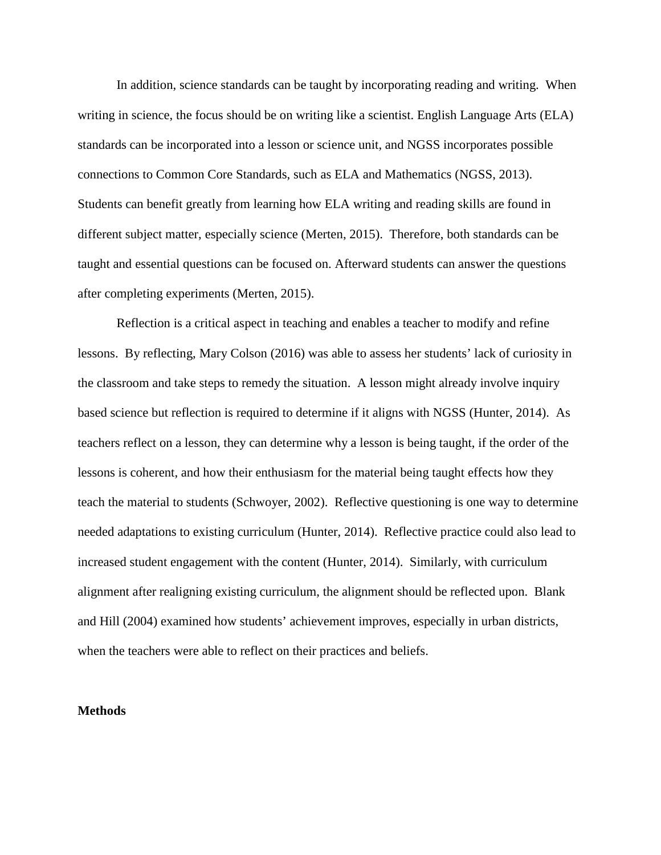In addition, science standards can be taught by incorporating reading and writing. When writing in science, the focus should be on writing like a scientist. English Language Arts (ELA) standards can be incorporated into a lesson or science unit, and NGSS incorporates possible connections to Common Core Standards, such as ELA and Mathematics (NGSS, 2013). Students can benefit greatly from learning how ELA writing and reading skills are found in different subject matter, especially science (Merten, 2015). Therefore, both standards can be taught and essential questions can be focused on. Afterward students can answer the questions after completing experiments (Merten, 2015).

Reflection is a critical aspect in teaching and enables a teacher to modify and refine lessons. By reflecting, Mary Colson (2016) was able to assess her students' lack of curiosity in the classroom and take steps to remedy the situation. A lesson might already involve inquiry based science but reflection is required to determine if it aligns with NGSS (Hunter, 2014). As teachers reflect on a lesson, they can determine why a lesson is being taught, if the order of the lessons is coherent, and how their enthusiasm for the material being taught effects how they teach the material to students (Schwoyer, 2002). Reflective questioning is one way to determine needed adaptations to existing curriculum (Hunter, 2014). Reflective practice could also lead to increased student engagement with the content (Hunter, 2014). Similarly, with curriculum alignment after realigning existing curriculum, the alignment should be reflected upon. Blank and Hill (2004) examined how students' achievement improves, especially in urban districts, when the teachers were able to reflect on their practices and beliefs.

#### **Methods**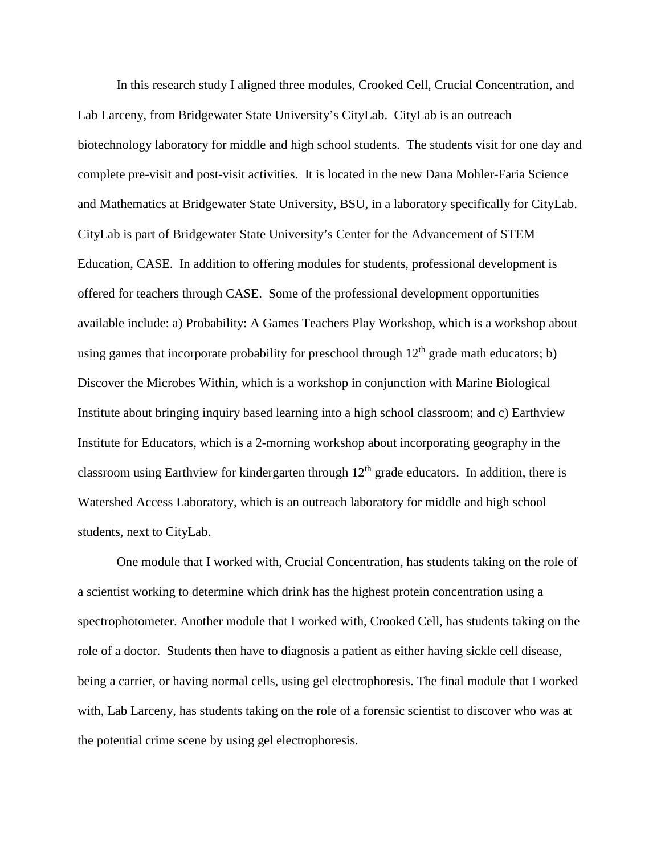In this research study I aligned three modules, Crooked Cell, Crucial Concentration, and Lab Larceny, from Bridgewater State University's CityLab. CityLab is an outreach biotechnology laboratory for middle and high school students. The students visit for one day and complete pre-visit and post-visit activities. It is located in the new Dana Mohler-Faria Science and Mathematics at Bridgewater State University, BSU, in a laboratory specifically for CityLab. CityLab is part of Bridgewater State University's Center for the Advancement of STEM Education, CASE. In addition to offering modules for students, professional development is offered for teachers through CASE. Some of the professional development opportunities available include: a) Probability: A Games Teachers Play Workshop, which is a workshop about using games that incorporate probability for preschool through  $12<sup>th</sup>$  grade math educators; b) Discover the Microbes Within, which is a workshop in conjunction with Marine Biological Institute about bringing inquiry based learning into a high school classroom; and c) Earthview Institute for Educators, which is a 2-morning workshop about incorporating geography in the classroom using Earthview for kindergarten through  $12<sup>th</sup>$  grade educators. In addition, there is Watershed Access Laboratory, which is an outreach laboratory for middle and high school students, next to CityLab.

One module that I worked with, Crucial Concentration, has students taking on the role of a scientist working to determine which drink has the highest protein concentration using a spectrophotometer. Another module that I worked with, Crooked Cell, has students taking on the role of a doctor. Students then have to diagnosis a patient as either having sickle cell disease, being a carrier, or having normal cells, using gel electrophoresis. The final module that I worked with, Lab Larceny, has students taking on the role of a forensic scientist to discover who was at the potential crime scene by using gel electrophoresis.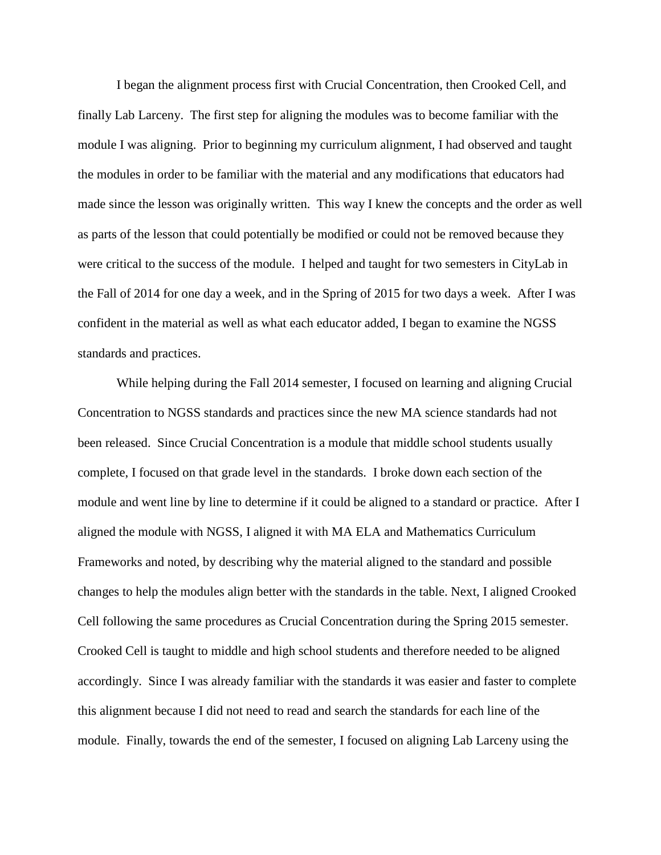I began the alignment process first with Crucial Concentration, then Crooked Cell, and finally Lab Larceny. The first step for aligning the modules was to become familiar with the module I was aligning. Prior to beginning my curriculum alignment, I had observed and taught the modules in order to be familiar with the material and any modifications that educators had made since the lesson was originally written. This way I knew the concepts and the order as well as parts of the lesson that could potentially be modified or could not be removed because they were critical to the success of the module. I helped and taught for two semesters in CityLab in the Fall of 2014 for one day a week, and in the Spring of 2015 for two days a week. After I was confident in the material as well as what each educator added, I began to examine the NGSS standards and practices.

While helping during the Fall 2014 semester, I focused on learning and aligning Crucial Concentration to NGSS standards and practices since the new MA science standards had not been released. Since Crucial Concentration is a module that middle school students usually complete, I focused on that grade level in the standards. I broke down each section of the module and went line by line to determine if it could be aligned to a standard or practice. After I aligned the module with NGSS, I aligned it with MA ELA and Mathematics Curriculum Frameworks and noted, by describing why the material aligned to the standard and possible changes to help the modules align better with the standards in the table. Next, I aligned Crooked Cell following the same procedures as Crucial Concentration during the Spring 2015 semester. Crooked Cell is taught to middle and high school students and therefore needed to be aligned accordingly. Since I was already familiar with the standards it was easier and faster to complete this alignment because I did not need to read and search the standards for each line of the module. Finally, towards the end of the semester, I focused on aligning Lab Larceny using the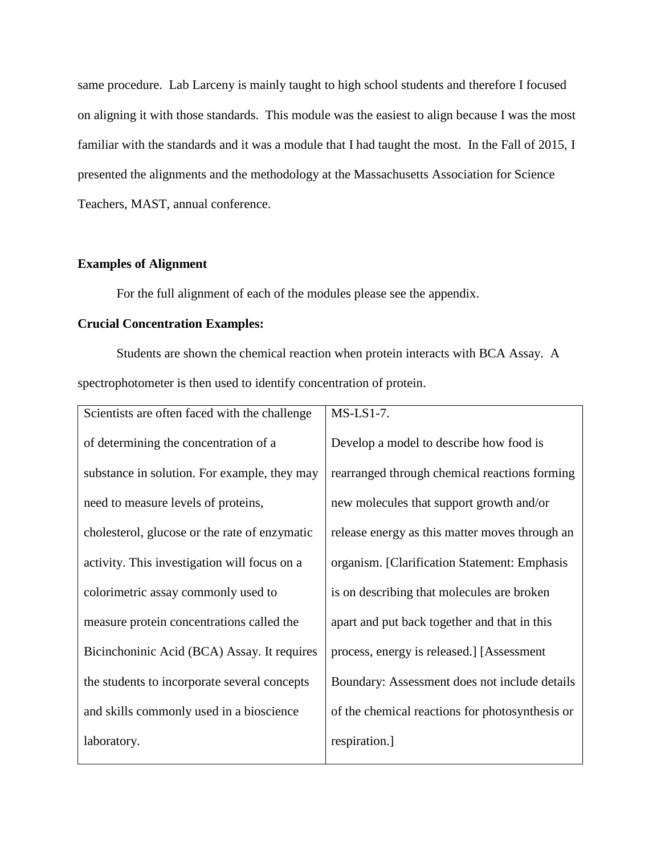same procedure. Lab Larceny is mainly taught to high school students and therefore I focused on aligning it with those standards. This module was the easiest to align because I was the most familiar with the standards and it was a module that I had taught the most. In the Fall of 2015, I presented the alignments and the methodology at the Massachusetts Association for Science Teachers, MAST, annual conference.

## **Examples of Alignment**

For the full alignment of each of the modules please see the appendix.

## **Crucial Concentration Examples:**

Students are shown the chemical reaction when protein interacts with BCA Assay. A spectrophotometer is then used to identify concentration of protein.

| Scientists are often faced with the challenge | $MS-LS1-7.$                                     |
|-----------------------------------------------|-------------------------------------------------|
| of determining the concentration of a         | Develop a model to describe how food is         |
| substance in solution. For example, they may  | rearranged through chemical reactions forming   |
| need to measure levels of proteins,           | new molecules that support growth and/or        |
| cholesterol, glucose or the rate of enzymatic | release energy as this matter moves through an  |
| activity. This investigation will focus on a  | organism. [Clarification Statement: Emphasis    |
| colorimetric assay commonly used to           | is on describing that molecules are broken      |
| measure protein concentrations called the     | apart and put back together and that in this    |
| Bicinchoninic Acid (BCA) Assay. It requires   | process, energy is released.] [Assessment       |
| the students to incorporate several concepts  | Boundary: Assessment does not include details   |
| and skills commonly used in a bioscience      | of the chemical reactions for photosynthesis or |
| laboratory.                                   | respiration.]                                   |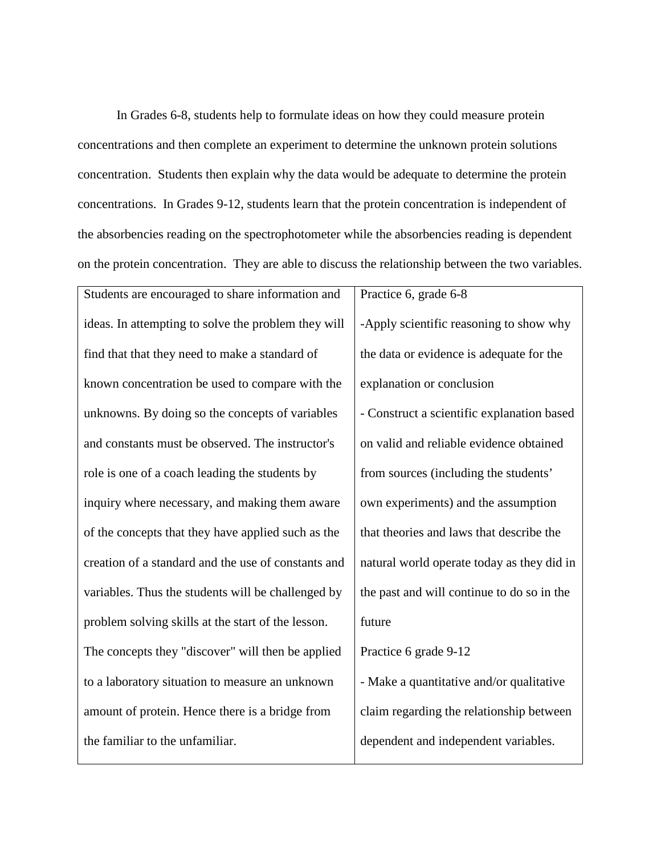In Grades 6-8, students help to formulate ideas on how they could measure protein concentrations and then complete an experiment to determine the unknown protein solutions concentration. Students then explain why the data would be adequate to determine the protein concentrations. In Grades 9-12, students learn that the protein concentration is independent of the absorbencies reading on the spectrophotometer while the absorbencies reading is dependent on the protein concentration. They are able to discuss the relationship between the two variables.

| Students are encouraged to share information and    | Practice 6, grade 6-8                      |
|-----------------------------------------------------|--------------------------------------------|
| ideas. In attempting to solve the problem they will | -Apply scientific reasoning to show why    |
| find that that they need to make a standard of      | the data or evidence is adequate for the   |
| known concentration be used to compare with the     | explanation or conclusion                  |
| unknowns. By doing so the concepts of variables     | - Construct a scientific explanation based |
| and constants must be observed. The instructor's    | on valid and reliable evidence obtained    |
| role is one of a coach leading the students by      | from sources (including the students'      |
| inquiry where necessary, and making them aware      | own experiments) and the assumption        |
| of the concepts that they have applied such as the  | that theories and laws that describe the   |
| creation of a standard and the use of constants and | natural world operate today as they did in |
| variables. Thus the students will be challenged by  | the past and will continue to do so in the |
| problem solving skills at the start of the lesson.  | future                                     |
| The concepts they "discover" will then be applied   | Practice 6 grade 9-12                      |
| to a laboratory situation to measure an unknown     | - Make a quantitative and/or qualitative   |
| amount of protein. Hence there is a bridge from     | claim regarding the relationship between   |
| the familiar to the unfamiliar.                     | dependent and independent variables.       |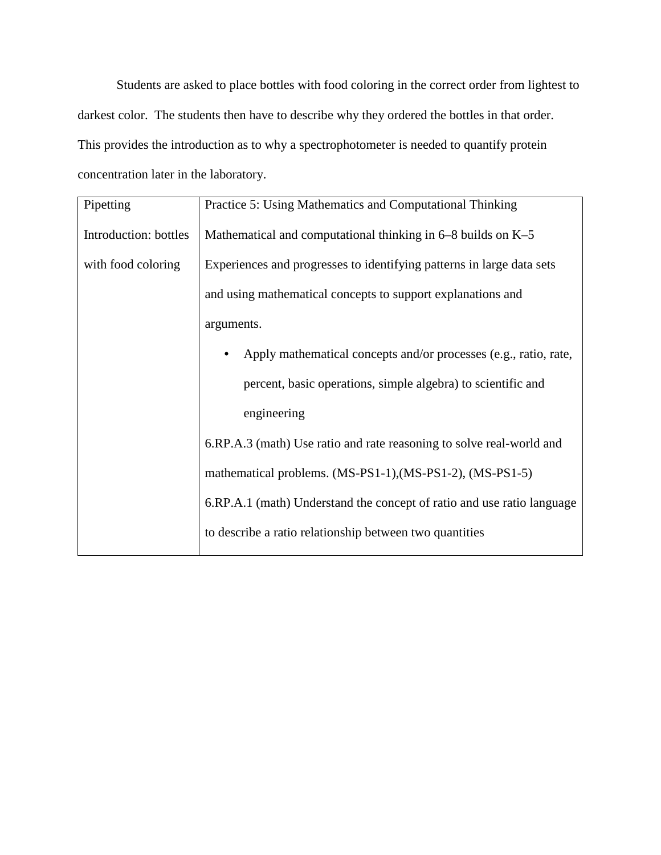Students are asked to place bottles with food coloring in the correct order from lightest to darkest color. The students then have to describe why they ordered the bottles in that order. This provides the introduction as to why a spectrophotometer is needed to quantify protein concentration later in the laboratory.

| Pipetting             | Practice 5: Using Mathematics and Computational Thinking               |
|-----------------------|------------------------------------------------------------------------|
| Introduction: bottles | Mathematical and computational thinking in $6-8$ builds on K-5         |
| with food coloring    | Experiences and progresses to identifying patterns in large data sets  |
|                       | and using mathematical concepts to support explanations and            |
|                       | arguments.                                                             |
|                       | Apply mathematical concepts and/or processes (e.g., ratio, rate,       |
|                       | percent, basic operations, simple algebra) to scientific and           |
|                       | engineering                                                            |
|                       | 6.RP.A.3 (math) Use ratio and rate reasoning to solve real-world and   |
|                       | mathematical problems. (MS-PS1-1), (MS-PS1-2), (MS-PS1-5)              |
|                       | 6.RP.A.1 (math) Understand the concept of ratio and use ratio language |
|                       | to describe a ratio relationship between two quantities                |
|                       |                                                                        |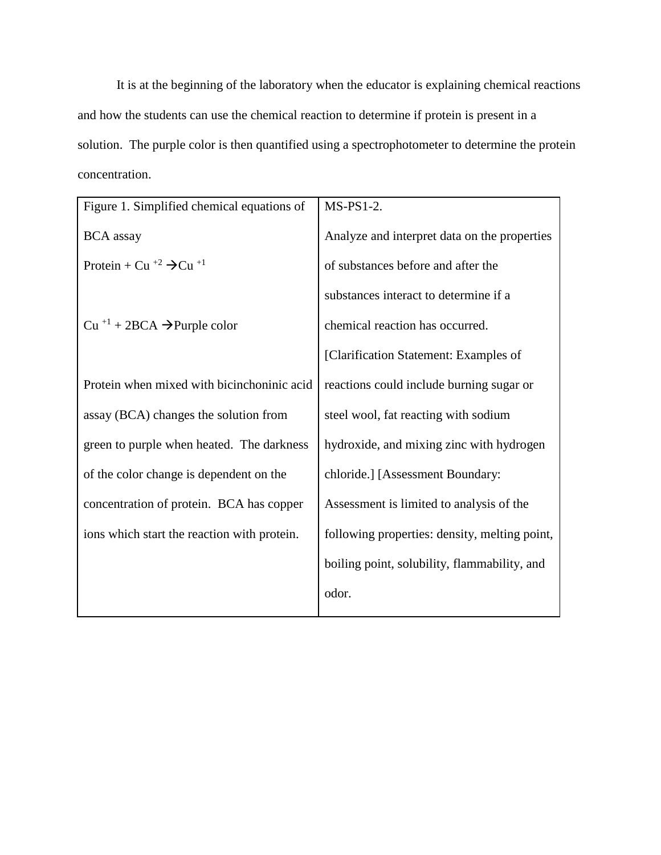It is at the beginning of the laboratory when the educator is explaining chemical reactions and how the students can use the chemical reaction to determine if protein is present in a solution. The purple color is then quantified using a spectrophotometer to determine the protein concentration.

| Figure 1. Simplified chemical equations of                | $MS-PS1-2.$                                   |
|-----------------------------------------------------------|-----------------------------------------------|
| <b>BCA</b> assay                                          | Analyze and interpret data on the properties  |
| Protein + Cu <sup>+2</sup> $\rightarrow$ Cu <sup>+1</sup> | of substances before and after the            |
|                                                           | substances interact to determine if a         |
| $Cu$ <sup>+1</sup> + 2BCA $\rightarrow$ Purple color      | chemical reaction has occurred.               |
|                                                           | [Clarification Statement: Examples of         |
| Protein when mixed with bicinchoninic acid                | reactions could include burning sugar or      |
| assay (BCA) changes the solution from                     | steel wool, fat reacting with sodium          |
| green to purple when heated. The darkness                 | hydroxide, and mixing zinc with hydrogen      |
| of the color change is dependent on the                   | chloride.] [Assessment Boundary:              |
| concentration of protein. BCA has copper                  | Assessment is limited to analysis of the      |
| ions which start the reaction with protein.               | following properties: density, melting point, |
|                                                           | boiling point, solubility, flammability, and  |
|                                                           | odor.                                         |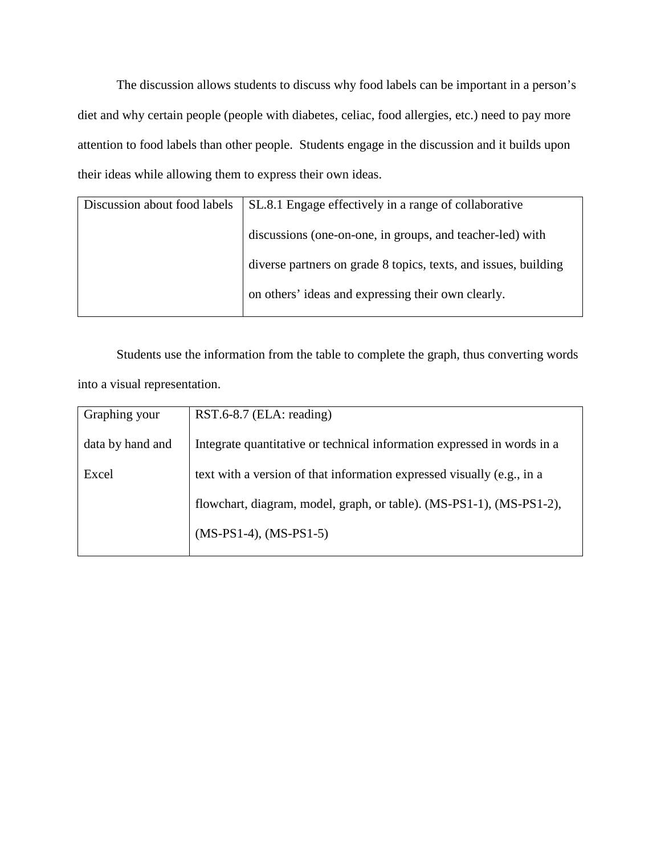The discussion allows students to discuss why food labels can be important in a person's diet and why certain people (people with diabetes, celiac, food allergies, etc.) need to pay more attention to food labels than other people. Students engage in the discussion and it builds upon their ideas while allowing them to express their own ideas.

| SL.8.1 Engage effectively in a range of collaborative<br>Discussion about food labels |
|---------------------------------------------------------------------------------------|
| discussions (one-on-one, in groups, and teacher-led) with                             |
| diverse partners on grade 8 topics, texts, and issues, building                       |
| on others' ideas and expressing their own clearly.                                    |
|                                                                                       |

Students use the information from the table to complete the graph, thus converting words into a visual representation.

| Graphing your    | RST.6-8.7 (ELA: reading)                                                |
|------------------|-------------------------------------------------------------------------|
| data by hand and | Integrate quantitative or technical information expressed in words in a |
| Excel            | text with a version of that information expressed visually (e.g., in a  |
|                  | flowchart, diagram, model, graph, or table). (MS-PS1-1), (MS-PS1-2),    |
|                  | $(MS-PS1-4)$ , $(MS-PS1-5)$                                             |
|                  |                                                                         |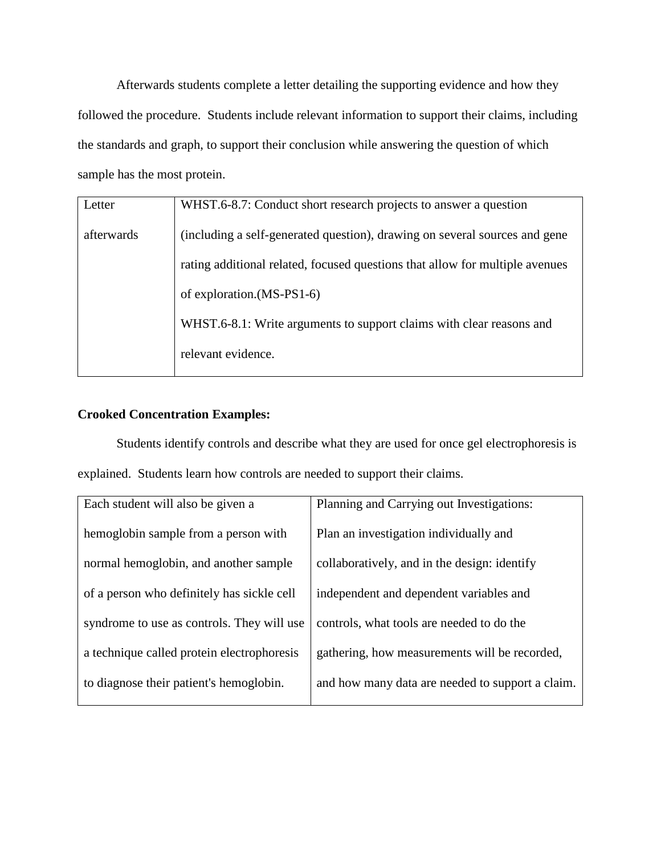Afterwards students complete a letter detailing the supporting evidence and how they followed the procedure. Students include relevant information to support their claims, including the standards and graph, to support their conclusion while answering the question of which sample has the most protein.

| Letter     | WHST.6-8.7: Conduct short research projects to answer a question             |
|------------|------------------------------------------------------------------------------|
| afterwards | (including a self-generated question), drawing on several sources and gene   |
|            | rating additional related, focused questions that allow for multiple avenues |
|            | of exploration.(MS-PS1-6)                                                    |
|            | WHST.6-8.1: Write arguments to support claims with clear reasons and         |
|            | relevant evidence.                                                           |
|            |                                                                              |

## **Crooked Concentration Examples:**

Students identify controls and describe what they are used for once gel electrophoresis is explained. Students learn how controls are needed to support their claims.

| Each student will also be given a          | Planning and Carrying out Investigations:        |
|--------------------------------------------|--------------------------------------------------|
| hemoglobin sample from a person with       | Plan an investigation individually and           |
| normal hemoglobin, and another sample      | collaboratively, and in the design: identify     |
| of a person who definitely has sickle cell | independent and dependent variables and          |
| syndrome to use as controls. They will use | controls, what tools are needed to do the        |
| a technique called protein electrophoresis | gathering, how measurements will be recorded,    |
| to diagnose their patient's hemoglobin.    | and how many data are needed to support a claim. |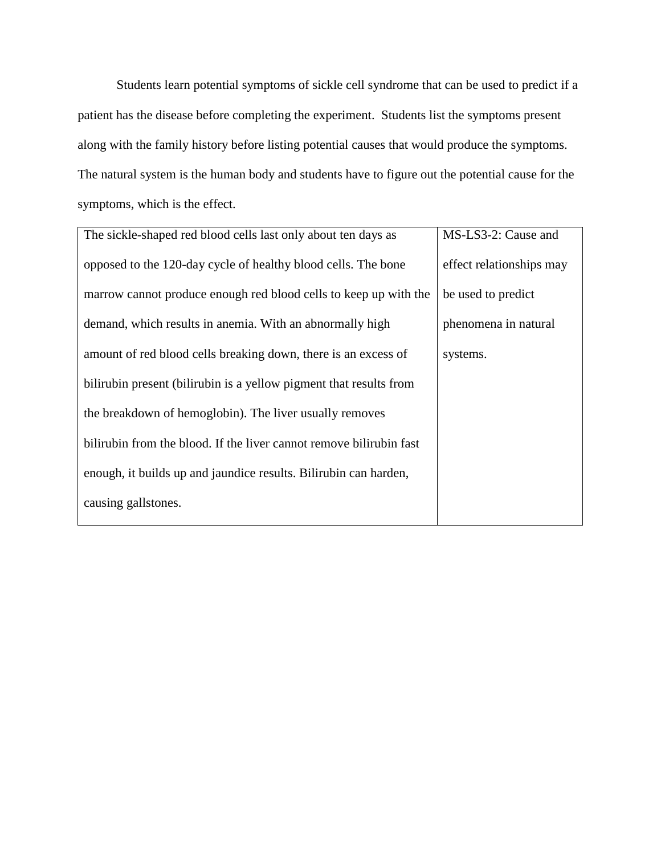Students learn potential symptoms of sickle cell syndrome that can be used to predict if a patient has the disease before completing the experiment. Students list the symptoms present along with the family history before listing potential causes that would produce the symptoms. The natural system is the human body and students have to figure out the potential cause for the symptoms, which is the effect.

| The sickle-shaped red blood cells last only about ten days as       | MS-LS3-2: Cause and      |
|---------------------------------------------------------------------|--------------------------|
|                                                                     |                          |
| opposed to the 120-day cycle of healthy blood cells. The bone       | effect relationships may |
| marrow cannot produce enough red blood cells to keep up with the    | be used to predict       |
| demand, which results in anemia. With an abnormally high            | phenomena in natural     |
| amount of red blood cells breaking down, there is an excess of      | systems.                 |
| bilirubin present (bilirubin is a yellow pigment that results from  |                          |
| the breakdown of hemoglobin). The liver usually removes             |                          |
| bilirubin from the blood. If the liver cannot remove bilirubin fast |                          |
| enough, it builds up and jaundice results. Bilirubin can harden,    |                          |
| causing gallstones.                                                 |                          |
|                                                                     |                          |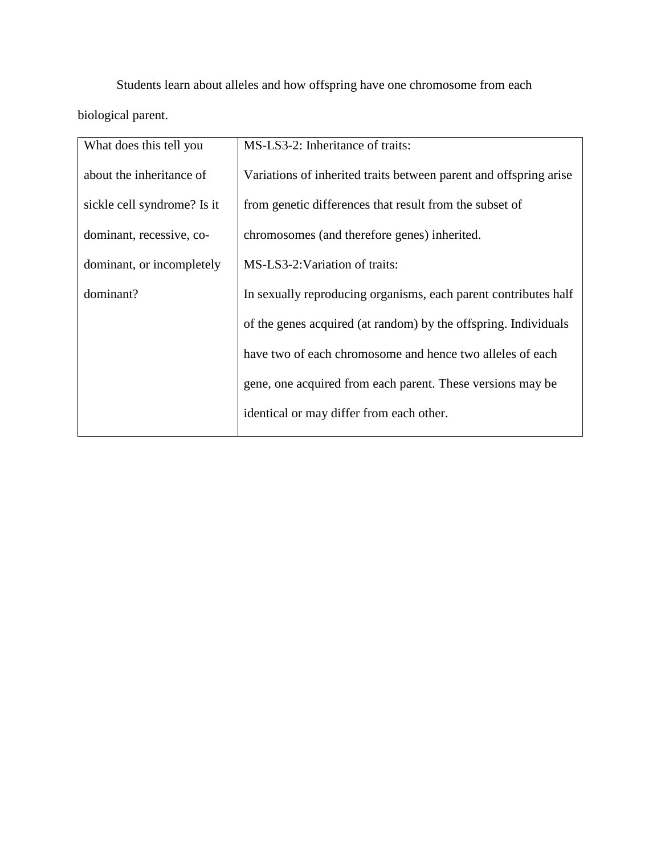Students learn about alleles and how offspring have one chromosome from each biological parent.

| What does this tell you     | MS-LS3-2: Inheritance of traits:                                  |
|-----------------------------|-------------------------------------------------------------------|
| about the inheritance of    | Variations of inherited traits between parent and offspring arise |
| sickle cell syndrome? Is it | from genetic differences that result from the subset of           |
| dominant, recessive, co-    | chromosomes (and therefore genes) inherited.                      |
| dominant, or incompletely   | MS-LS3-2: Variation of traits:                                    |
| dominant?                   | In sexually reproducing organisms, each parent contributes half   |
|                             | of the genes acquired (at random) by the offspring. Individuals   |
|                             | have two of each chromosome and hence two alleles of each         |
|                             | gene, one acquired from each parent. These versions may be        |
|                             | identical or may differ from each other.                          |
|                             |                                                                   |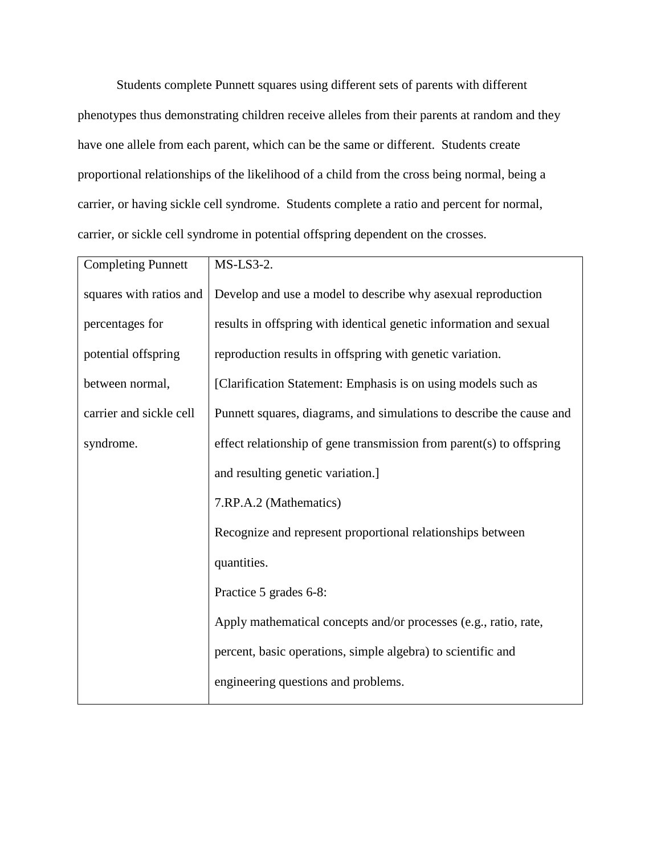Students complete Punnett squares using different sets of parents with different phenotypes thus demonstrating children receive alleles from their parents at random and they have one allele from each parent, which can be the same or different. Students create proportional relationships of the likelihood of a child from the cross being normal, being a carrier, or having sickle cell syndrome. Students complete a ratio and percent for normal, carrier, or sickle cell syndrome in potential offspring dependent on the crosses.

| <b>Completing Punnett</b> | $MS-LS3-2.$                                                          |
|---------------------------|----------------------------------------------------------------------|
| squares with ratios and   | Develop and use a model to describe why asexual reproduction         |
| percentages for           | results in offspring with identical genetic information and sexual   |
| potential offspring       | reproduction results in offspring with genetic variation.            |
| between normal,           | [Clarification Statement: Emphasis is on using models such as        |
| carrier and sickle cell   | Punnett squares, diagrams, and simulations to describe the cause and |
| syndrome.                 | effect relationship of gene transmission from parent(s) to offspring |
|                           | and resulting genetic variation.]                                    |
|                           | 7.RP.A.2 (Mathematics)                                               |
|                           | Recognize and represent proportional relationships between           |
|                           | quantities.                                                          |
|                           | Practice 5 grades 6-8:                                               |
|                           | Apply mathematical concepts and/or processes (e.g., ratio, rate,     |
|                           | percent, basic operations, simple algebra) to scientific and         |
|                           | engineering questions and problems.                                  |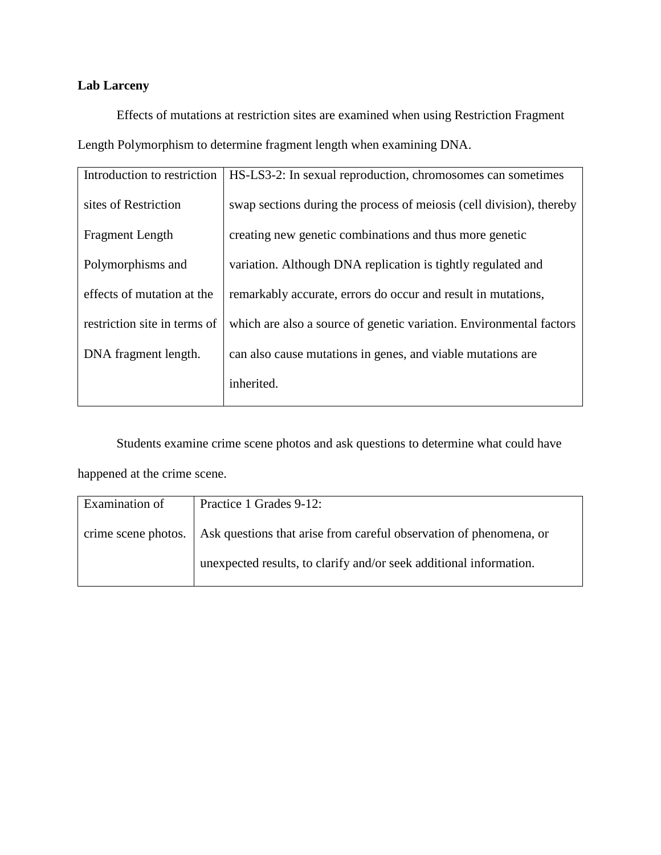## **Lab Larceny**

Effects of mutations at restriction sites are examined when using Restriction Fragment Length Polymorphism to determine fragment length when examining DNA.

| Introduction to restriction  | HS-LS3-2: In sexual reproduction, chromosomes can sometimes          |
|------------------------------|----------------------------------------------------------------------|
| sites of Restriction         | swap sections during the process of meiosis (cell division), thereby |
| <b>Fragment Length</b>       | creating new genetic combinations and thus more genetic              |
| Polymorphisms and            | variation. Although DNA replication is tightly regulated and         |
| effects of mutation at the   | remarkably accurate, errors do occur and result in mutations,        |
| restriction site in terms of | which are also a source of genetic variation. Environmental factors  |
| DNA fragment length.         | can also cause mutations in genes, and viable mutations are          |
|                              | inherited.                                                           |

Students examine crime scene photos and ask questions to determine what could have happened at the crime scene.

| Examination of | Practice 1 Grades 9-12:                                                                  |
|----------------|------------------------------------------------------------------------------------------|
|                | crime scene photos.   Ask questions that arise from careful observation of phenomena, or |
|                | unexpected results, to clarify and/or seek additional information.                       |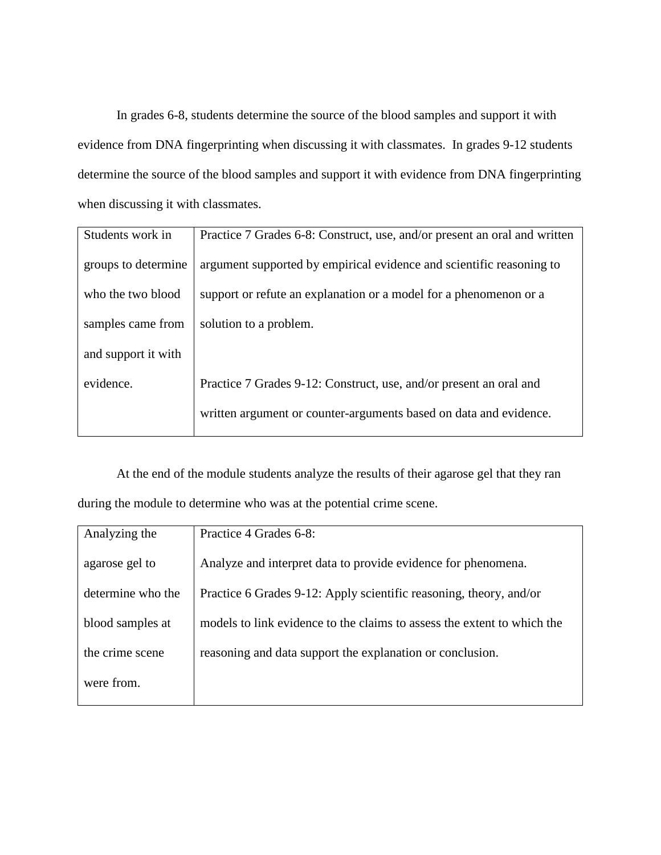In grades 6-8, students determine the source of the blood samples and support it with evidence from DNA fingerprinting when discussing it with classmates. In grades 9-12 students determine the source of the blood samples and support it with evidence from DNA fingerprinting when discussing it with classmates.

| Students work in    | Practice 7 Grades 6-8: Construct, use, and/or present an oral and written |
|---------------------|---------------------------------------------------------------------------|
| groups to determine | argument supported by empirical evidence and scientific reasoning to      |
| who the two blood   | support or refute an explanation or a model for a phenomenon or a         |
| samples came from   | solution to a problem.                                                    |
| and support it with |                                                                           |
| evidence.           | Practice 7 Grades 9-12: Construct, use, and/or present an oral and        |
|                     | written argument or counter-arguments based on data and evidence.         |
|                     |                                                                           |

At the end of the module students analyze the results of their agarose gel that they ran during the module to determine who was at the potential crime scene.

| Analyzing the     | Practice 4 Grades 6-8:                                                  |
|-------------------|-------------------------------------------------------------------------|
| agarose gel to    | Analyze and interpret data to provide evidence for phenomena.           |
| determine who the | Practice 6 Grades 9-12: Apply scientific reasoning, theory, and/or      |
| blood samples at  | models to link evidence to the claims to assess the extent to which the |
| the crime scene   | reasoning and data support the explanation or conclusion.               |
| were from.        |                                                                         |
|                   |                                                                         |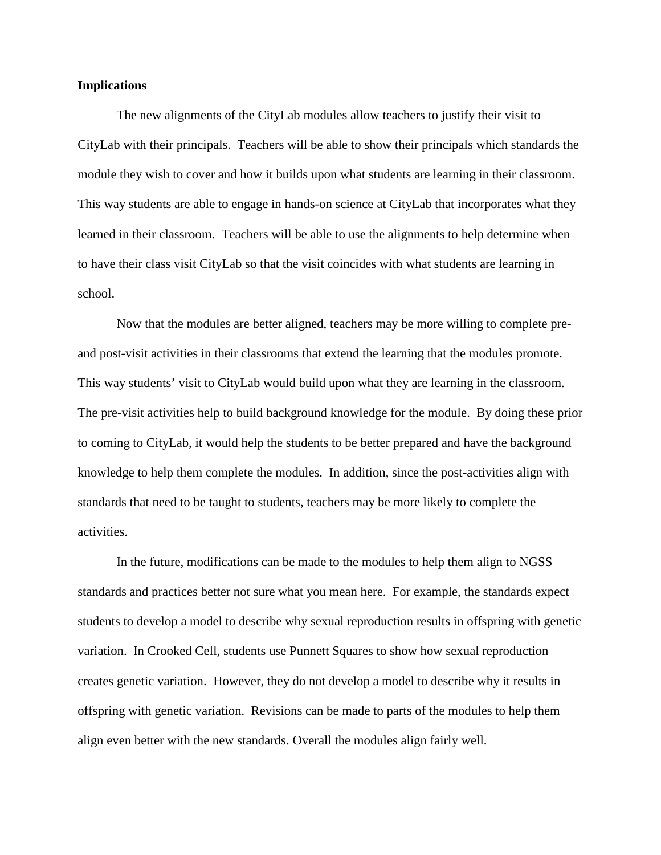#### **Implications**

The new alignments of the CityLab modules allow teachers to justify their visit to CityLab with their principals. Teachers will be able to show their principals which standards the module they wish to cover and how it builds upon what students are learning in their classroom. This way students are able to engage in hands-on science at CityLab that incorporates what they learned in their classroom. Teachers will be able to use the alignments to help determine when to have their class visit CityLab so that the visit coincides with what students are learning in school.

Now that the modules are better aligned, teachers may be more willing to complete preand post-visit activities in their classrooms that extend the learning that the modules promote. This way students' visit to CityLab would build upon what they are learning in the classroom. The pre-visit activities help to build background knowledge for the module. By doing these prior to coming to CityLab, it would help the students to be better prepared and have the background knowledge to help them complete the modules. In addition, since the post-activities align with standards that need to be taught to students, teachers may be more likely to complete the activities.

In the future, modifications can be made to the modules to help them align to NGSS standards and practices better not sure what you mean here. For example, the standards expect students to develop a model to describe why sexual reproduction results in offspring with genetic variation. In Crooked Cell, students use Punnett Squares to show how sexual reproduction creates genetic variation. However, they do not develop a model to describe why it results in offspring with genetic variation. Revisions can be made to parts of the modules to help them align even better with the new standards. Overall the modules align fairly well.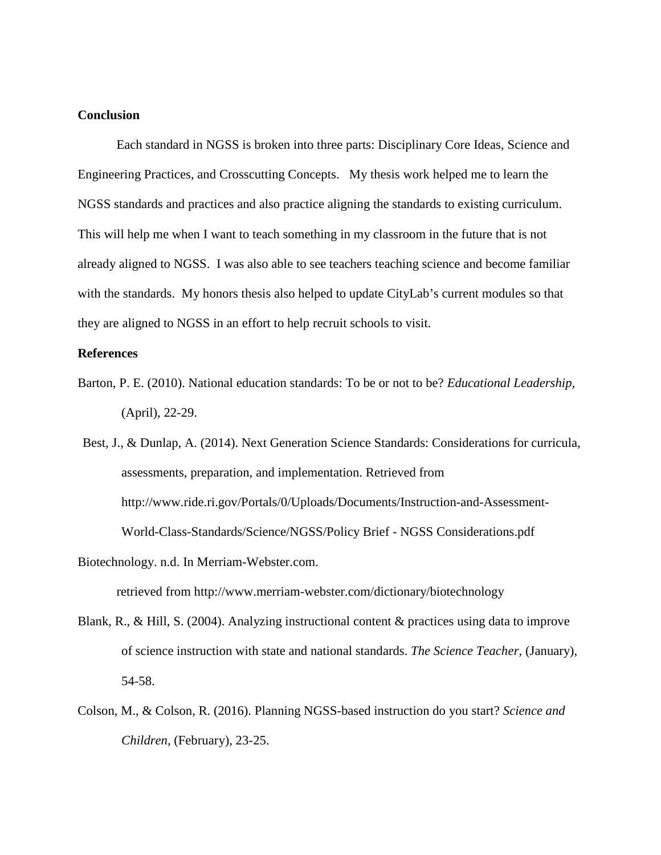## **Conclusion**

Each standard in NGSS is broken into three parts: Disciplinary Core Ideas, Science and Engineering Practices, and Crosscutting Concepts. My thesis work helped me to learn the NGSS standards and practices and also practice aligning the standards to existing curriculum. This will help me when I want to teach something in my classroom in the future that is not already aligned to NGSS. I was also able to see teachers teaching science and become familiar with the standards. My honors thesis also helped to update CityLab's current modules so that they are aligned to NGSS in an effort to help recruit schools to visit.

## **References**

Barton, P. E. (2010). National education standards: To be or not to be? *Educational Leadership,* (April), 22-29.

Best, J., & Dunlap, A. (2014). Next Generation Science Standards: Considerations for curricula, assessments, preparation, and implementation. Retrieved from http://www.ride.ri.gov/Portals/0/Uploads/Documents/Instruction-and-Assessment-World-Class-Standards/Science/NGSS/Policy Brief - NGSS Considerations.pdf

retrieved from http://www.merriam-webster.com/dictionary/biotechnology

- Blank, R., & Hill, S. (2004). Analyzing instructional content & practices using data to improve of science instruction with state and national standards. *The Science Teacher,* (January), 54-58.
- Colson, M., & Colson, R. (2016). Planning NGSS-based instruction do you start? *Science and Children,* (February), 23-25.

Biotechnology. n.d. In Merriam-Webster.com.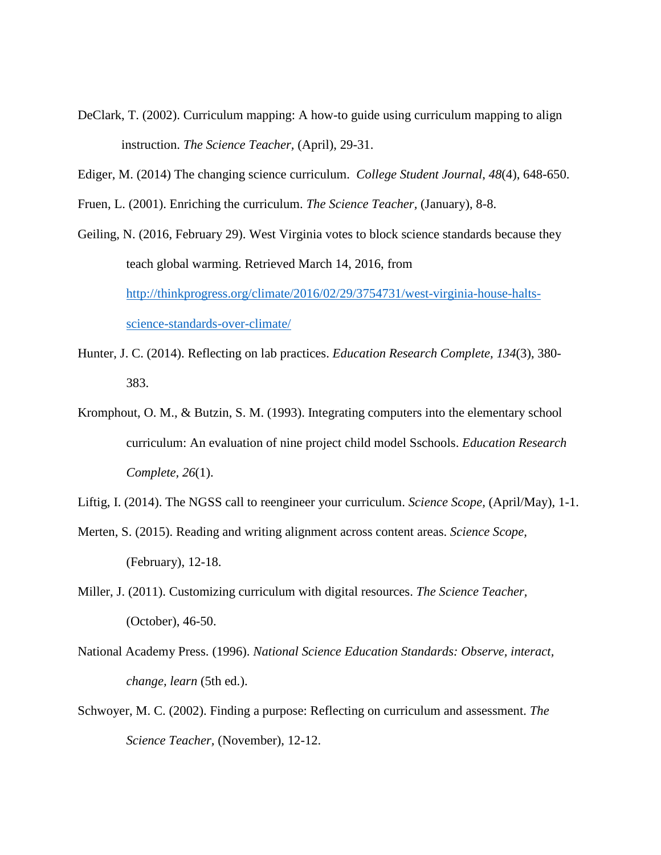- DeClark, T. (2002). Curriculum mapping: A how-to guide using curriculum mapping to align instruction. *The Science Teacher,* (April), 29-31.
- Ediger, M. (2014) The changing science curriculum. *College Student Journal*, *48*(4), 648-650.
- Fruen, L. (2001). Enriching the curriculum. *The Science Teacher,* (January), 8-8.

Geiling, N. (2016, February 29). West Virginia votes to block science standards because they teach global warming. Retrieved March 14, 2016, from [http://thinkprogress.org/climate/2016/02/29/3754731/west-virginia-house-halts](http://thinkprogress.org/climate/2016/02/29/3754731/west-virginia-house-halts-science-standards-over-climate/)[science-standards-over-climate/](http://thinkprogress.org/climate/2016/02/29/3754731/west-virginia-house-halts-science-standards-over-climate/)

- Hunter, J. C. (2014). Reflecting on lab practices. *Education Research Complete, 134*(3), 380- 383.
- Kromphout, O. M., & Butzin, S. M. (1993). Integrating computers into the elementary school curriculum: An evaluation of nine project child model Sschools. *Education Research Complete, 26*(1).

- Merten, S. (2015). Reading and writing alignment across content areas. *Science Scope,* (February), 12-18.
- Miller, J. (2011). Customizing curriculum with digital resources. *The Science Teacher,* (October), 46-50.
- National Academy Press. (1996). *National Science Education Standards: Observe, interact, change, learn* (5th ed.).
- Schwoyer, M. C. (2002). Finding a purpose: Reflecting on curriculum and assessment. *The Science Teacher,* (November), 12-12.

Liftig, I. (2014). The NGSS call to reengineer your curriculum. *Science Scope,* (April/May), 1-1.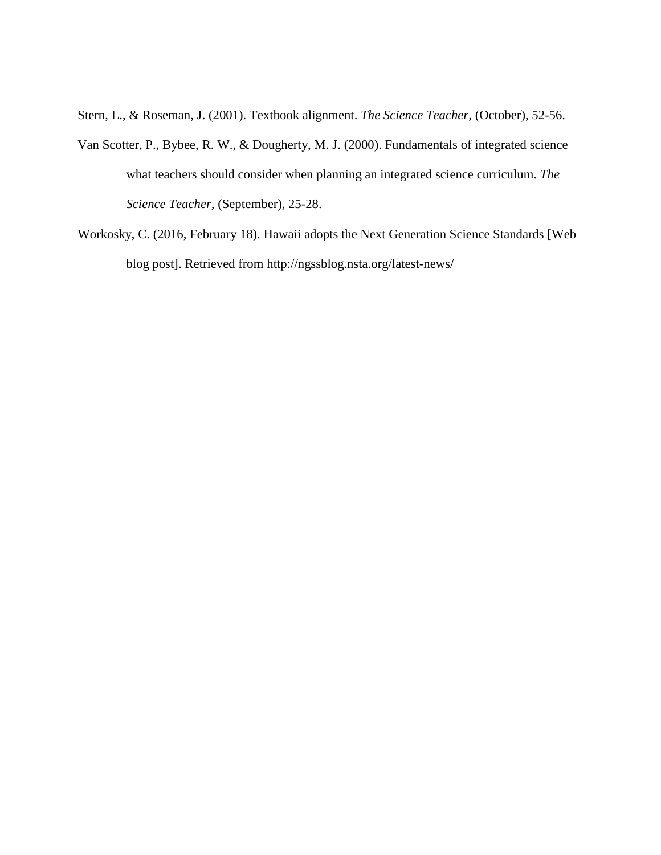Stern, L., & Roseman, J. (2001). Textbook alignment. *The Science Teacher,* (October), 52-56.

- Van Scotter, P., Bybee, R. W., & Dougherty, M. J. (2000). Fundamentals of integrated science what teachers should consider when planning an integrated science curriculum. *The Science Teacher,* (September), 25-28.
- Workosky, C. (2016, February 18). Hawaii adopts the Next Generation Science Standards [Web blog post]. Retrieved from http://ngssblog.nsta.org/latest-news/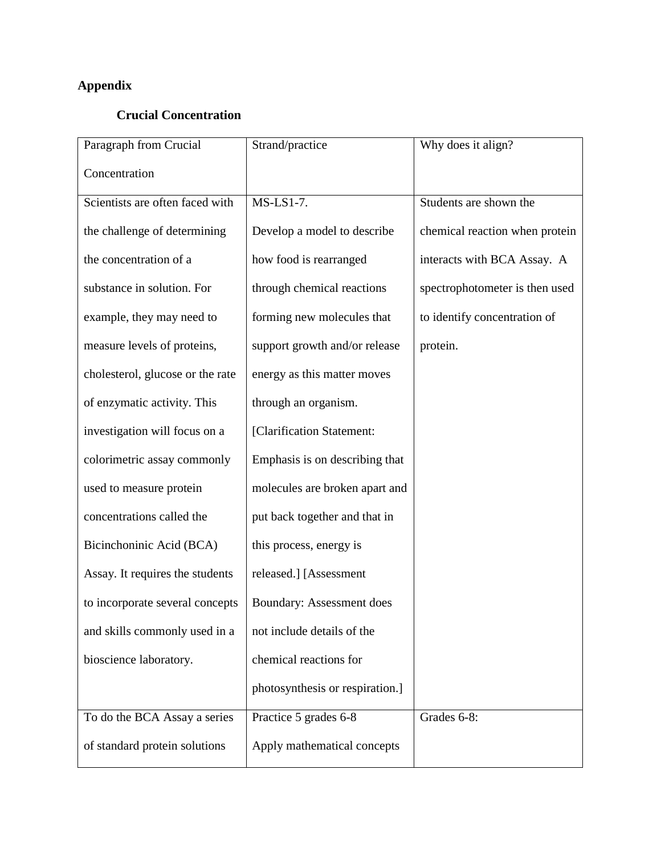## **Appendix**

## **Crucial Concentration**

| Paragraph from Crucial           | Strand/practice                  | Why does it align?             |
|----------------------------------|----------------------------------|--------------------------------|
| Concentration                    |                                  |                                |
| Scientists are often faced with  | MS-LS1-7.                        | Students are shown the         |
| the challenge of determining     | Develop a model to describe      | chemical reaction when protein |
| the concentration of a           | how food is rearranged           | interacts with BCA Assay. A    |
| substance in solution. For       | through chemical reactions       | spectrophotometer is then used |
| example, they may need to        | forming new molecules that       | to identify concentration of   |
| measure levels of proteins,      | support growth and/or release    | protein.                       |
| cholesterol, glucose or the rate | energy as this matter moves      |                                |
| of enzymatic activity. This      | through an organism.             |                                |
| investigation will focus on a    | [Clarification Statement:        |                                |
| colorimetric assay commonly      | Emphasis is on describing that   |                                |
| used to measure protein          | molecules are broken apart and   |                                |
| concentrations called the        | put back together and that in    |                                |
| Bicinchoninic Acid (BCA)         | this process, energy is          |                                |
| Assay. It requires the students  | released.] [Assessment           |                                |
| to incorporate several concepts  | <b>Boundary: Assessment does</b> |                                |
| and skills commonly used in a    | not include details of the       |                                |
| bioscience laboratory.           | chemical reactions for           |                                |
|                                  | photosynthesis or respiration.]  |                                |
| To do the BCA Assay a series     | Practice 5 grades 6-8            | Grades 6-8:                    |
| of standard protein solutions    | Apply mathematical concepts      |                                |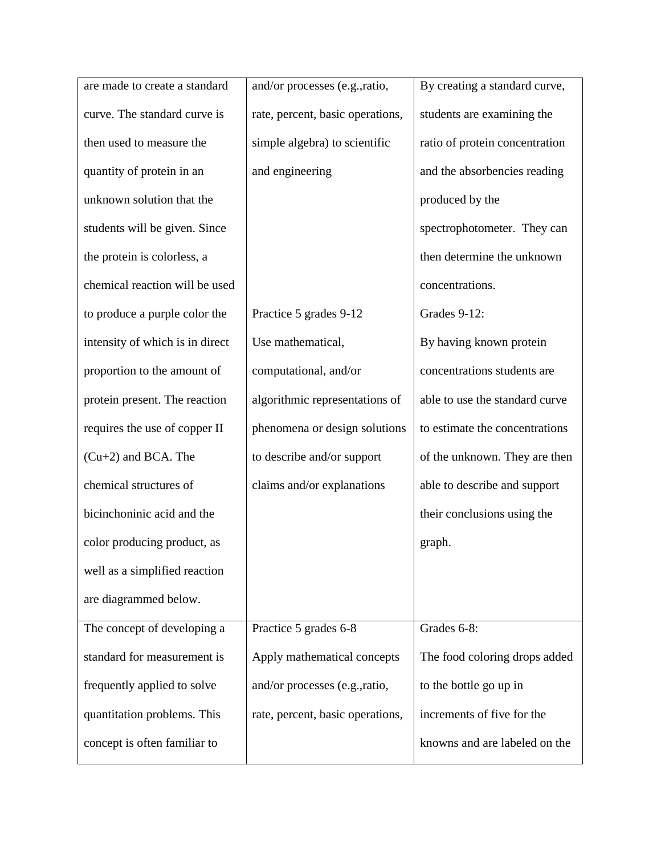| are made to create a standard   | and/or processes (e.g., ratio,   | By creating a standard curve,  |
|---------------------------------|----------------------------------|--------------------------------|
| curve. The standard curve is    | rate, percent, basic operations, | students are examining the     |
| then used to measure the        | simple algebra) to scientific    | ratio of protein concentration |
| quantity of protein in an       | and engineering                  | and the absorbencies reading   |
| unknown solution that the       |                                  | produced by the                |
| students will be given. Since   |                                  | spectrophotometer. They can    |
| the protein is colorless, a     |                                  | then determine the unknown     |
| chemical reaction will be used  |                                  | concentrations.                |
| to produce a purple color the   | Practice 5 grades 9-12           | Grades 9-12:                   |
| intensity of which is in direct | Use mathematical,                | By having known protein        |
| proportion to the amount of     | computational, and/or            | concentrations students are    |
| protein present. The reaction   | algorithmic representations of   | able to use the standard curve |
| requires the use of copper II   | phenomena or design solutions    | to estimate the concentrations |
| $(Cu+2)$ and BCA. The           | to describe and/or support       | of the unknown. They are then  |
| chemical structures of          | claims and/or explanations       | able to describe and support   |
| bicinchoninic acid and the      |                                  | their conclusions using the    |
| color producing product, as     |                                  | graph.                         |
| well as a simplified reaction   |                                  |                                |
| are diagrammed below.           |                                  |                                |
| The concept of developing a     | Practice 5 grades 6-8            | Grades 6-8:                    |
| standard for measurement is     | Apply mathematical concepts      | The food coloring drops added  |
| frequently applied to solve     | and/or processes (e.g., ratio,   | to the bottle go up in         |
| quantitation problems. This     | rate, percent, basic operations, | increments of five for the     |
| concept is often familiar to    |                                  | knowns and are labeled on the  |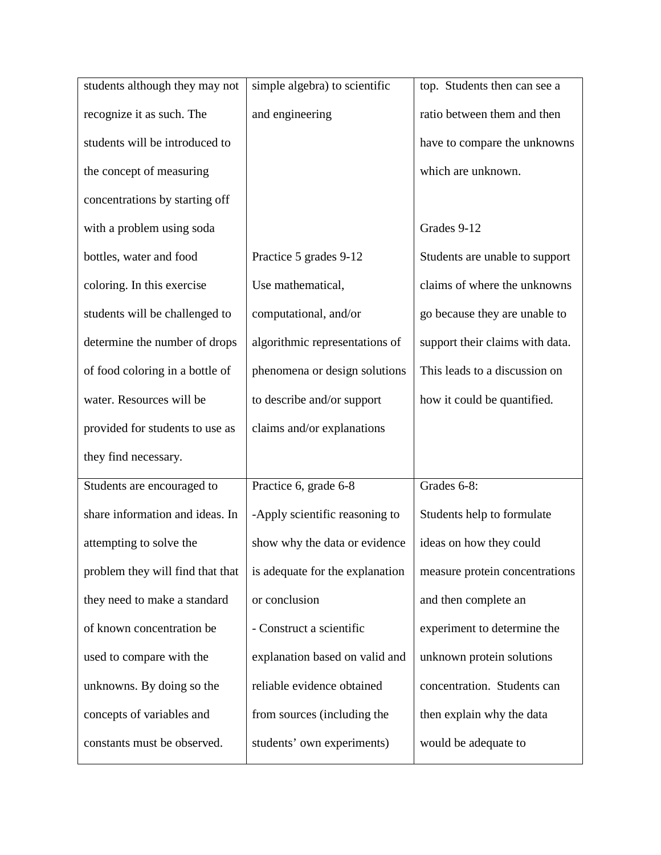| students although they may not   | simple algebra) to scientific   | top. Students then can see a    |
|----------------------------------|---------------------------------|---------------------------------|
| recognize it as such. The        | and engineering                 | ratio between them and then     |
| students will be introduced to   |                                 | have to compare the unknowns    |
| the concept of measuring         |                                 | which are unknown.              |
| concentrations by starting off   |                                 |                                 |
| with a problem using soda        |                                 | Grades 9-12                     |
| bottles, water and food          | Practice 5 grades 9-12          | Students are unable to support  |
| coloring. In this exercise       | Use mathematical,               | claims of where the unknowns    |
| students will be challenged to   | computational, and/or           | go because they are unable to   |
| determine the number of drops    | algorithmic representations of  | support their claims with data. |
| of food coloring in a bottle of  | phenomena or design solutions   | This leads to a discussion on   |
| water. Resources will be         | to describe and/or support      | how it could be quantified.     |
| provided for students to use as  | claims and/or explanations      |                                 |
| they find necessary.             |                                 |                                 |
| Students are encouraged to       | Practice 6, grade 6-8           | Grades 6-8:                     |
| share information and ideas. In  | -Apply scientific reasoning to  | Students help to formulate      |
| attempting to solve the          | show why the data or evidence   | ideas on how they could         |
| problem they will find that that | is adequate for the explanation | measure protein concentrations  |
| they need to make a standard     | or conclusion                   | and then complete an            |
| of known concentration be        | - Construct a scientific        | experiment to determine the     |
| used to compare with the         | explanation based on valid and  | unknown protein solutions       |
| unknowns. By doing so the        | reliable evidence obtained      | concentration. Students can     |
| concepts of variables and        | from sources (including the     | then explain why the data       |
| constants must be observed.      | students' own experiments)      | would be adequate to            |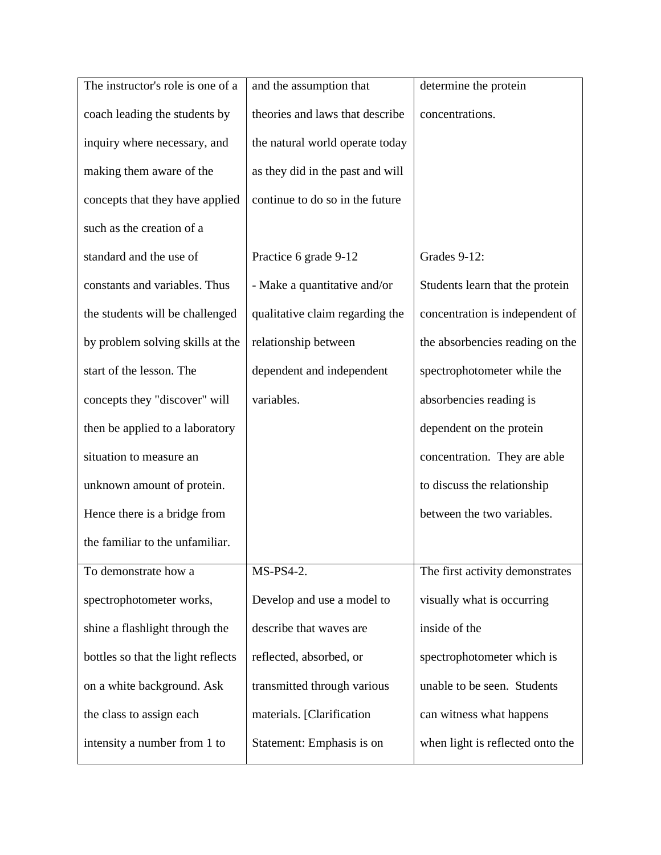| and the assumption that          | determine the protein            |
|----------------------------------|----------------------------------|
| theories and laws that describe  | concentrations.                  |
| the natural world operate today  |                                  |
| as they did in the past and will |                                  |
| continue to do so in the future  |                                  |
|                                  |                                  |
| Practice 6 grade 9-12            | Grades 9-12:                     |
| - Make a quantitative and/or     | Students learn that the protein  |
| qualitative claim regarding the  | concentration is independent of  |
| relationship between             | the absorbencies reading on the  |
| dependent and independent        | spectrophotometer while the      |
| variables.                       | absorbencies reading is          |
|                                  | dependent on the protein         |
|                                  | concentration. They are able     |
|                                  | to discuss the relationship      |
|                                  | between the two variables.       |
|                                  |                                  |
| MS-PS4-2.                        | The first activity demonstrates  |
| Develop and use a model to       | visually what is occurring       |
| describe that waves are          | inside of the                    |
| reflected, absorbed, or          | spectrophotometer which is       |
| transmitted through various      | unable to be seen. Students      |
| materials. [Clarification        | can witness what happens         |
| Statement: Emphasis is on        | when light is reflected onto the |
|                                  |                                  |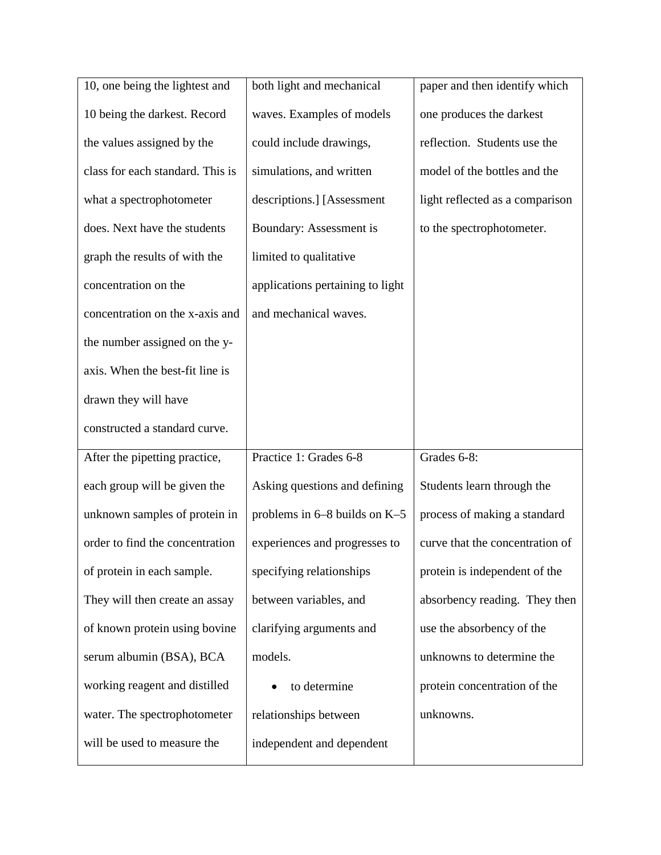| 10, one being the lightest and   | both light and mechanical        | paper and then identify which   |
|----------------------------------|----------------------------------|---------------------------------|
| 10 being the darkest. Record     | waves. Examples of models        | one produces the darkest        |
| the values assigned by the       | could include drawings,          | reflection. Students use the    |
| class for each standard. This is | simulations, and written         | model of the bottles and the    |
| what a spectrophotometer         | descriptions.] [Assessment       | light reflected as a comparison |
| does. Next have the students     | Boundary: Assessment is          | to the spectrophotometer.       |
| graph the results of with the    | limited to qualitative           |                                 |
| concentration on the             | applications pertaining to light |                                 |
| concentration on the x-axis and  | and mechanical waves.            |                                 |
| the number assigned on the y-    |                                  |                                 |
| axis. When the best-fit line is  |                                  |                                 |
| drawn they will have             |                                  |                                 |
| constructed a standard curve.    |                                  |                                 |
| After the pipetting practice,    | Practice 1: Grades 6-8           | Grades 6-8:                     |
| each group will be given the     | Asking questions and defining    | Students learn through the      |
| unknown samples of protein in    | problems in $6-8$ builds on K-5  | process of making a standard    |
| order to find the concentration  | experiences and progresses to    | curve that the concentration of |
| of protein in each sample.       | specifying relationships         | protein is independent of the   |
| They will then create an assay   | between variables, and           | absorbency reading. They then   |
| of known protein using bovine    | clarifying arguments and         | use the absorbency of the       |
| serum albumin (BSA), BCA         | models.                          | unknowns to determine the       |
| working reagent and distilled    | to determine                     | protein concentration of the    |
| water. The spectrophotometer     | relationships between            | unknowns.                       |
| will be used to measure the      | independent and dependent        |                                 |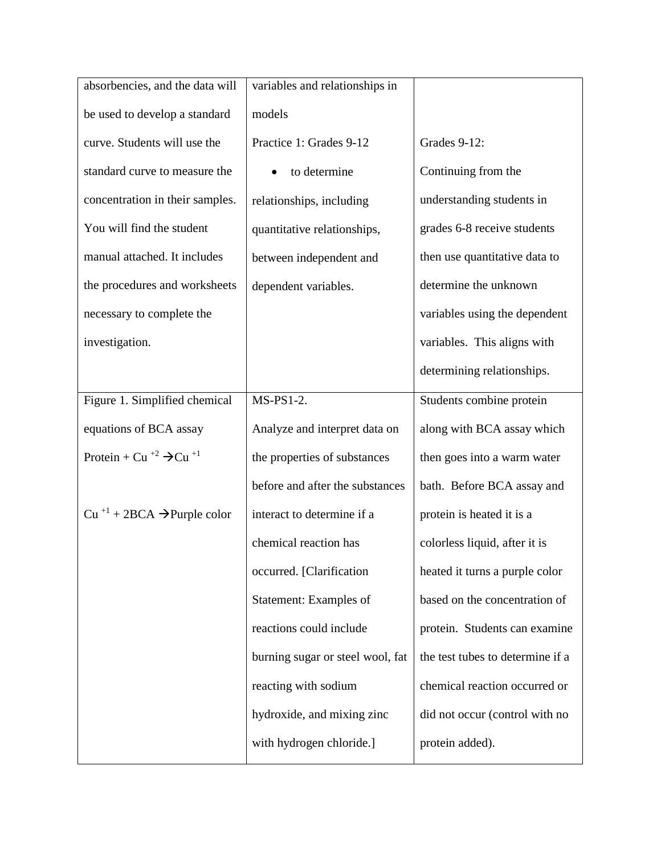| absorbencies, and the data will                           | variables and relationships in   |                                  |
|-----------------------------------------------------------|----------------------------------|----------------------------------|
| be used to develop a standard                             | models                           |                                  |
| curve. Students will use the                              | Practice 1: Grades 9-12          | Grades 9-12:                     |
| standard curve to measure the                             | to determine                     | Continuing from the              |
| concentration in their samples.                           | relationships, including         | understanding students in        |
| You will find the student                                 | quantitative relationships,      | grades 6-8 receive students      |
| manual attached. It includes                              | between independent and          | then use quantitative data to    |
| the procedures and worksheets                             | dependent variables.             | determine the unknown            |
| necessary to complete the                                 |                                  | variables using the dependent    |
| investigation.                                            |                                  | variables. This aligns with      |
|                                                           |                                  | determining relationships.       |
| Figure 1. Simplified chemical                             | $MS-PS1-2.$                      | Students combine protein         |
| equations of BCA assay                                    | Analyze and interpret data on    | along with BCA assay which       |
| Protein + Cu <sup>+2</sup> $\rightarrow$ Cu <sup>+1</sup> | the properties of substances     | then goes into a warm water      |
|                                                           | before and after the substances  | bath. Before BCA assay and       |
| $Cu$ <sup>+1</sup> + 2BCA $\rightarrow$ Purple color      | interact to determine if a       | protein is heated it is a        |
|                                                           | chemical reaction has            | colorless liquid, after it is    |
|                                                           | occurred. [Clarification         | heated it turns a purple color   |
|                                                           | Statement: Examples of           | based on the concentration of    |
|                                                           | reactions could include          | protein. Students can examine    |
|                                                           | burning sugar or steel wool, fat | the test tubes to determine if a |
|                                                           | reacting with sodium             | chemical reaction occurred or    |
|                                                           | hydroxide, and mixing zinc       | did not occur (control with no   |
|                                                           | with hydrogen chloride.]         | protein added).                  |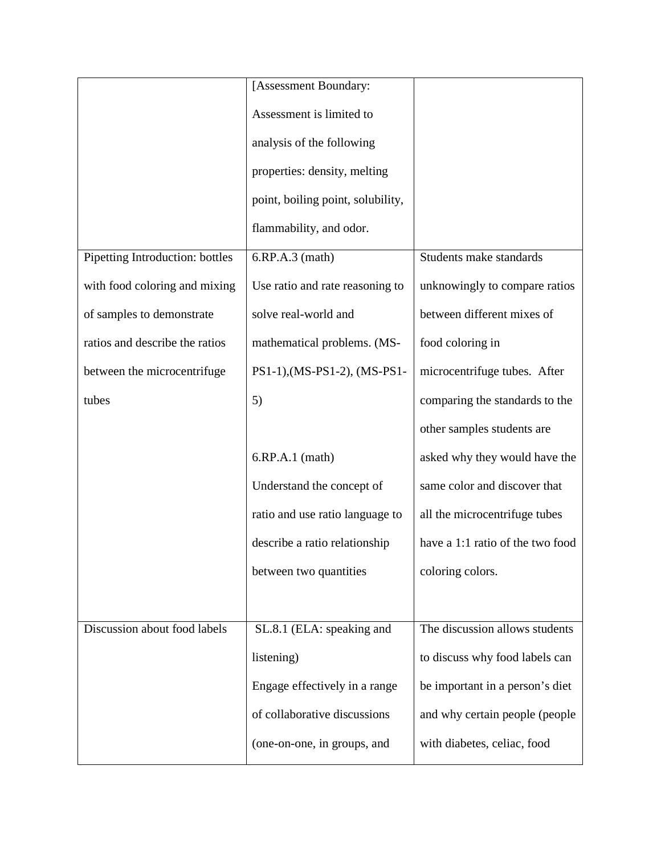|                                 | [Assessment Boundary:             |                                  |
|---------------------------------|-----------------------------------|----------------------------------|
|                                 | Assessment is limited to          |                                  |
|                                 | analysis of the following         |                                  |
|                                 | properties: density, melting      |                                  |
|                                 | point, boiling point, solubility, |                                  |
|                                 | flammability, and odor.           |                                  |
| Pipetting Introduction: bottles | $6.RP.A.3$ (math)                 | Students make standards          |
| with food coloring and mixing   | Use ratio and rate reasoning to   | unknowingly to compare ratios    |
| of samples to demonstrate       | solve real-world and              | between different mixes of       |
| ratios and describe the ratios  | mathematical problems. (MS-       | food coloring in                 |
| between the microcentrifuge     | PS1-1), (MS-PS1-2), (MS-PS1-      | microcentrifuge tubes. After     |
| tubes                           | 5)                                | comparing the standards to the   |
|                                 |                                   | other samples students are       |
|                                 | $6.RP.A.1$ (math)                 | asked why they would have the    |
|                                 | Understand the concept of         | same color and discover that     |
|                                 | ratio and use ratio language to   | all the microcentrifuge tubes    |
|                                 | describe a ratio relationship     | have a 1:1 ratio of the two food |
|                                 | between two quantities            | coloring colors.                 |
|                                 |                                   |                                  |
| Discussion about food labels    | SL.8.1 (ELA: speaking and         | The discussion allows students   |
|                                 | listening)                        | to discuss why food labels can   |
|                                 | Engage effectively in a range     | be important in a person's diet  |
|                                 | of collaborative discussions      | and why certain people (people   |
|                                 | (one-on-one, in groups, and       | with diabetes, celiac, food      |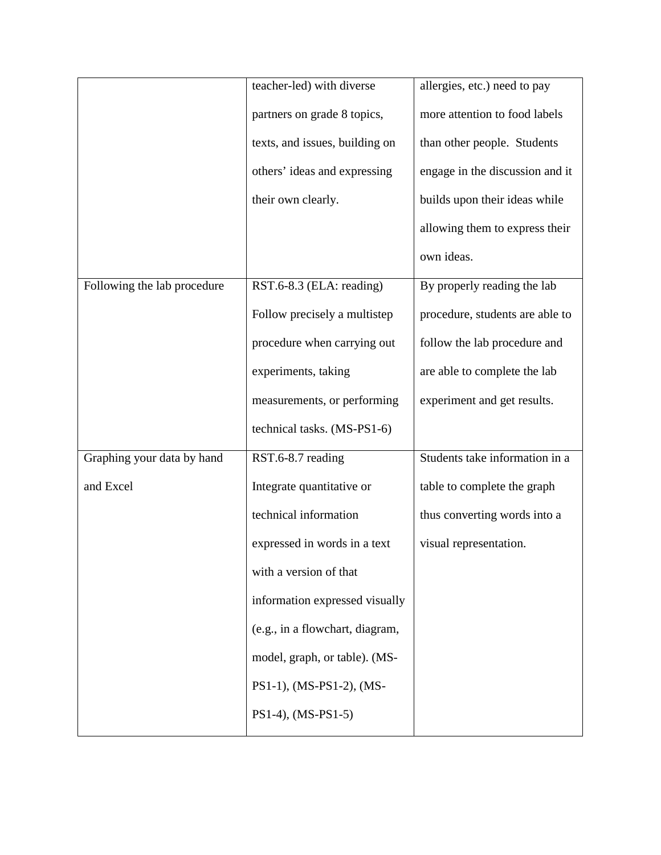|                             | teacher-led) with diverse       | allergies, etc.) need to pay    |
|-----------------------------|---------------------------------|---------------------------------|
|                             | partners on grade 8 topics,     | more attention to food labels   |
|                             | texts, and issues, building on  | than other people. Students     |
|                             | others' ideas and expressing    | engage in the discussion and it |
|                             | their own clearly.              | builds upon their ideas while   |
|                             |                                 | allowing them to express their  |
|                             |                                 | own ideas.                      |
| Following the lab procedure | RST.6-8.3 (ELA: reading)        | By properly reading the lab     |
|                             | Follow precisely a multistep    | procedure, students are able to |
|                             | procedure when carrying out     | follow the lab procedure and    |
|                             | experiments, taking             | are able to complete the lab    |
|                             | measurements, or performing     | experiment and get results.     |
|                             | technical tasks. (MS-PS1-6)     |                                 |
| Graphing your data by hand  | RST.6-8.7 reading               | Students take information in a  |
| and Excel                   | Integrate quantitative or       | table to complete the graph     |
|                             | technical information           | thus converting words into a    |
|                             | expressed in words in a text    | visual representation.          |
|                             | with a version of that          |                                 |
|                             | information expressed visually  |                                 |
|                             | (e.g., in a flowchart, diagram, |                                 |
|                             | model, graph, or table). (MS-   |                                 |
|                             | PS1-1), (MS-PS1-2), (MS-        |                                 |
|                             | $PS1-4$ ), (MS-PS1-5)           |                                 |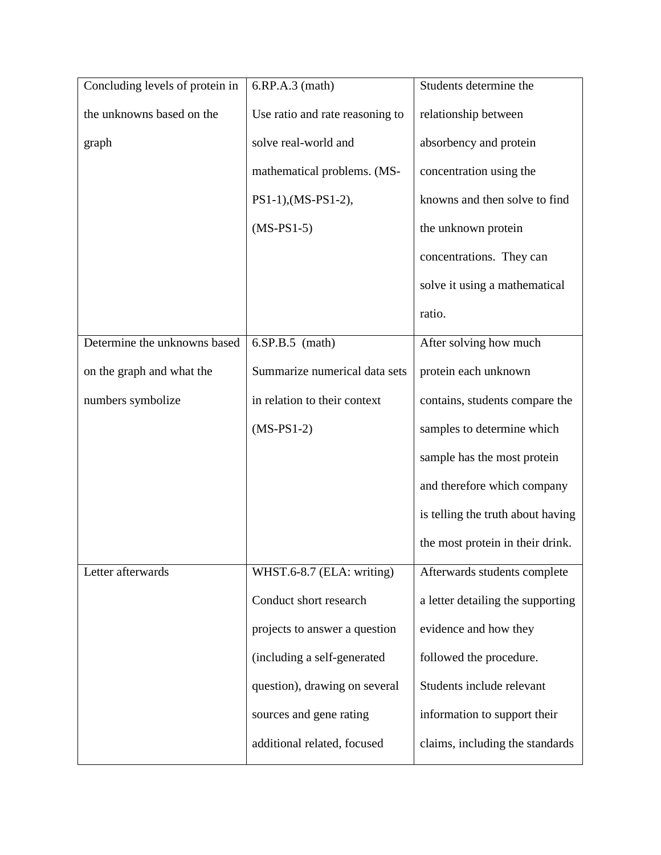| Concluding levels of protein in | $6.RP.A.3$ (math)               | Students determine the            |
|---------------------------------|---------------------------------|-----------------------------------|
| the unknowns based on the       | Use ratio and rate reasoning to | relationship between              |
| graph                           | solve real-world and            | absorbency and protein            |
|                                 | mathematical problems. (MS-     | concentration using the           |
|                                 | PS1-1), (MS-PS1-2),             | knowns and then solve to find     |
|                                 | $(MS-PS1-5)$                    | the unknown protein               |
|                                 |                                 | concentrations. They can          |
|                                 |                                 | solve it using a mathematical     |
|                                 |                                 | ratio.                            |
| Determine the unknowns based    | $6.SP.B.5$ (math)               | After solving how much            |
| on the graph and what the       | Summarize numerical data sets   | protein each unknown              |
| numbers symbolize               | in relation to their context    | contains, students compare the    |
|                                 | $(MS-PS1-2)$                    | samples to determine which        |
|                                 |                                 | sample has the most protein       |
|                                 |                                 | and therefore which company       |
|                                 |                                 | is telling the truth about having |
|                                 |                                 | the most protein in their drink.  |
| Letter afterwards               | WHST.6-8.7 (ELA: writing)       | Afterwards students complete      |
|                                 | Conduct short research          | a letter detailing the supporting |
|                                 | projects to answer a question   | evidence and how they             |
|                                 | (including a self-generated     | followed the procedure.           |
|                                 | question), drawing on several   | Students include relevant         |
|                                 | sources and gene rating         | information to support their      |
|                                 | additional related, focused     | claims, including the standards   |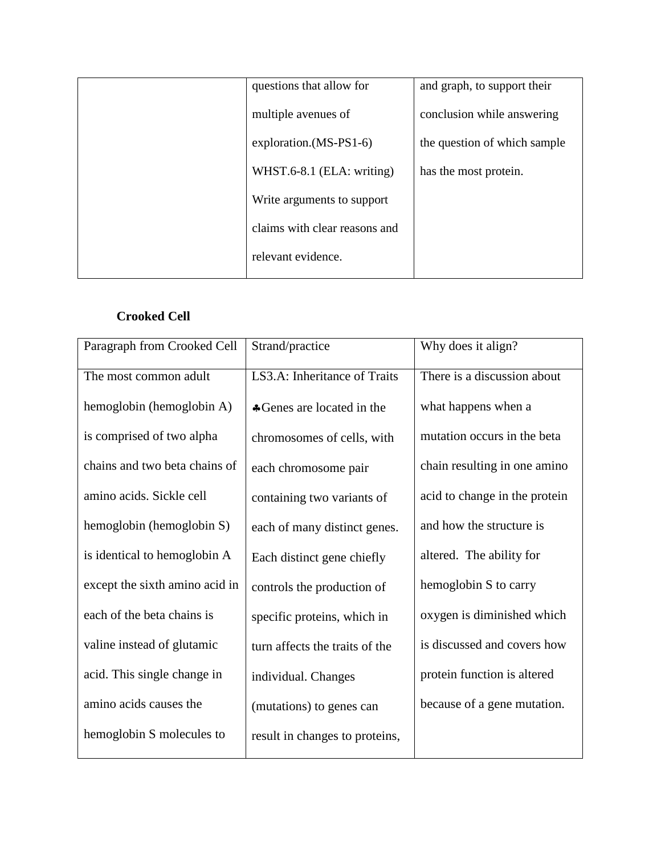| questions that allow for      | and graph, to support their  |
|-------------------------------|------------------------------|
| multiple avenues of           | conclusion while answering   |
| exploration.(MS-PS1-6)        | the question of which sample |
| WHST.6-8.1 (ELA: writing)     | has the most protein.        |
| Write arguments to support    |                              |
| claims with clear reasons and |                              |
| relevant evidence.            |                              |
|                               |                              |

## **Crooked Cell**

| Paragraph from Crooked Cell    | Strand/practice                | Why does it align?            |
|--------------------------------|--------------------------------|-------------------------------|
| The most common adult          | LS3.A: Inheritance of Traits   | There is a discussion about   |
| hemoglobin (hemoglobin A)      | *Genes are located in the      | what happens when a           |
| is comprised of two alpha      | chromosomes of cells, with     | mutation occurs in the beta   |
| chains and two beta chains of  | each chromosome pair           | chain resulting in one amino  |
| amino acids. Sickle cell       | containing two variants of     | acid to change in the protein |
| hemoglobin (hemoglobin S)      | each of many distinct genes.   | and how the structure is      |
| is identical to hemoglobin A   | Each distinct gene chiefly     | altered. The ability for      |
| except the sixth amino acid in | controls the production of     | hemoglobin S to carry         |
| each of the beta chains is     | specific proteins, which in    | oxygen is diminished which    |
| valine instead of glutamic     | turn affects the traits of the | is discussed and covers how   |
| acid. This single change in    | individual. Changes            | protein function is altered   |
| amino acids causes the         | (mutations) to genes can       | because of a gene mutation.   |
| hemoglobin S molecules to      | result in changes to proteins, |                               |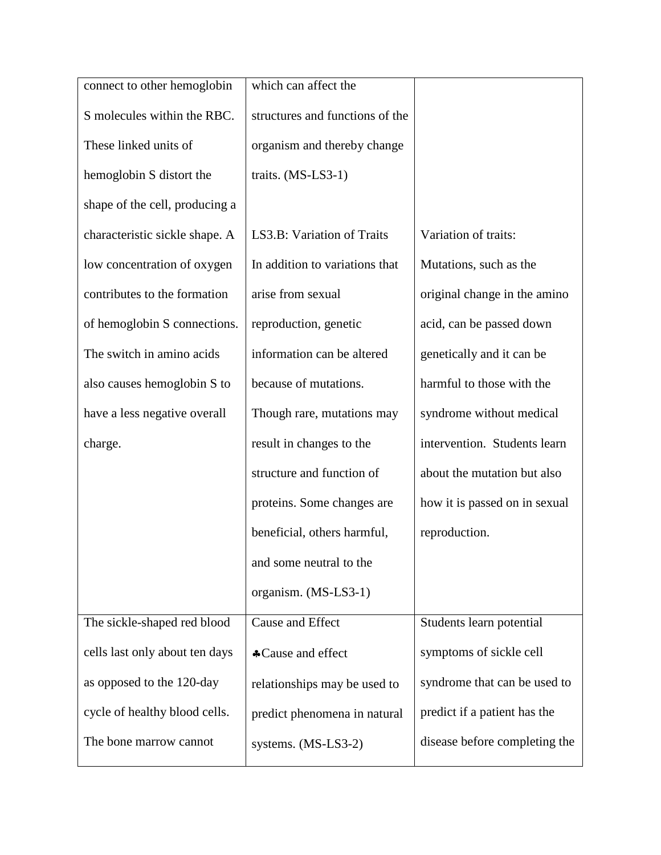| connect to other hemoglobin    | which can affect the            |                               |
|--------------------------------|---------------------------------|-------------------------------|
| S molecules within the RBC.    | structures and functions of the |                               |
| These linked units of          | organism and thereby change     |                               |
| hemoglobin S distort the       | traits. (MS-LS3-1)              |                               |
| shape of the cell, producing a |                                 |                               |
| characteristic sickle shape. A | LS3.B: Variation of Traits      | Variation of traits:          |
| low concentration of oxygen    | In addition to variations that  | Mutations, such as the        |
| contributes to the formation   | arise from sexual               | original change in the amino  |
| of hemoglobin S connections.   | reproduction, genetic           | acid, can be passed down      |
| The switch in amino acids      | information can be altered      | genetically and it can be     |
| also causes hemoglobin S to    | because of mutations.           | harmful to those with the     |
| have a less negative overall   | Though rare, mutations may      | syndrome without medical      |
| charge.                        | result in changes to the        | intervention. Students learn  |
|                                | structure and function of       | about the mutation but also   |
|                                | proteins. Some changes are      | how it is passed on in sexual |
|                                | beneficial, others harmful,     | reproduction.                 |
|                                | and some neutral to the         |                               |
|                                | organism. (MS-LS3-1)            |                               |
| The sickle-shaped red blood    | <b>Cause and Effect</b>         | Students learn potential      |
| cells last only about ten days | *Cause and effect               | symptoms of sickle cell       |
| as opposed to the 120-day      | relationships may be used to    | syndrome that can be used to  |
| cycle of healthy blood cells.  | predict phenomena in natural    | predict if a patient has the  |
| The bone marrow cannot         | systems. (MS-LS3-2)             | disease before completing the |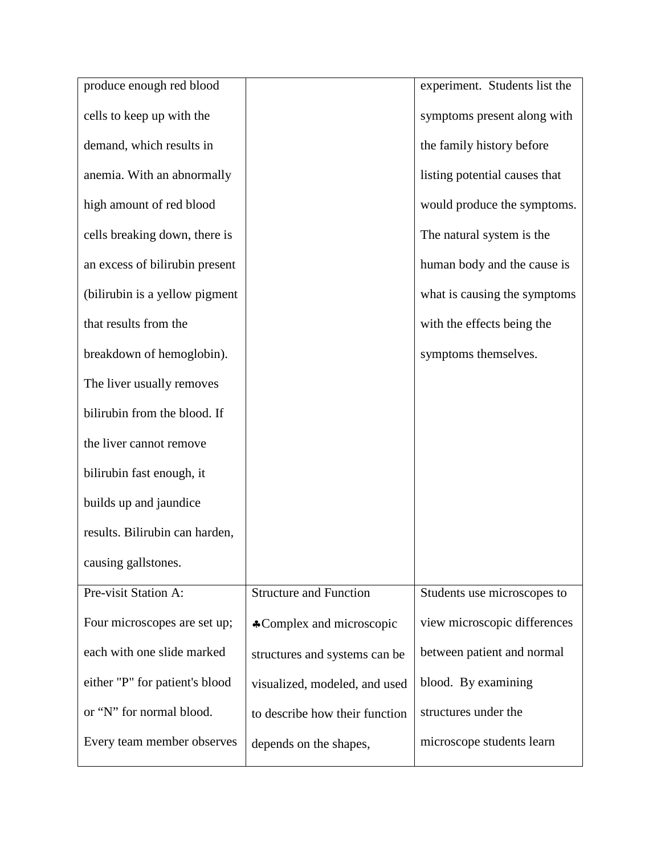| produce enough red blood       |                                | experiment. Students list the |
|--------------------------------|--------------------------------|-------------------------------|
| cells to keep up with the      |                                | symptoms present along with   |
| demand, which results in       |                                | the family history before     |
| anemia. With an abnormally     |                                | listing potential causes that |
| high amount of red blood       |                                | would produce the symptoms.   |
| cells breaking down, there is  |                                | The natural system is the     |
| an excess of bilirubin present |                                | human body and the cause is   |
| (bilirubin is a yellow pigment |                                | what is causing the symptoms  |
| that results from the          |                                | with the effects being the    |
| breakdown of hemoglobin).      |                                | symptoms themselves.          |
| The liver usually removes      |                                |                               |
| bilirubin from the blood. If   |                                |                               |
| the liver cannot remove        |                                |                               |
| bilirubin fast enough, it      |                                |                               |
| builds up and jaundice         |                                |                               |
| results. Bilirubin can harden, |                                |                               |
| causing gallstones.            |                                |                               |
| Pre-visit Station A:           | <b>Structure and Function</b>  | Students use microscopes to   |
| Four microscopes are set up;   | *Complex and microscopic       | view microscopic differences  |
| each with one slide marked     | structures and systems can be  | between patient and normal    |
| either "P" for patient's blood | visualized, modeled, and used  | blood. By examining           |
| or "N" for normal blood.       | to describe how their function | structures under the          |
| Every team member observes     | depends on the shapes,         | microscope students learn     |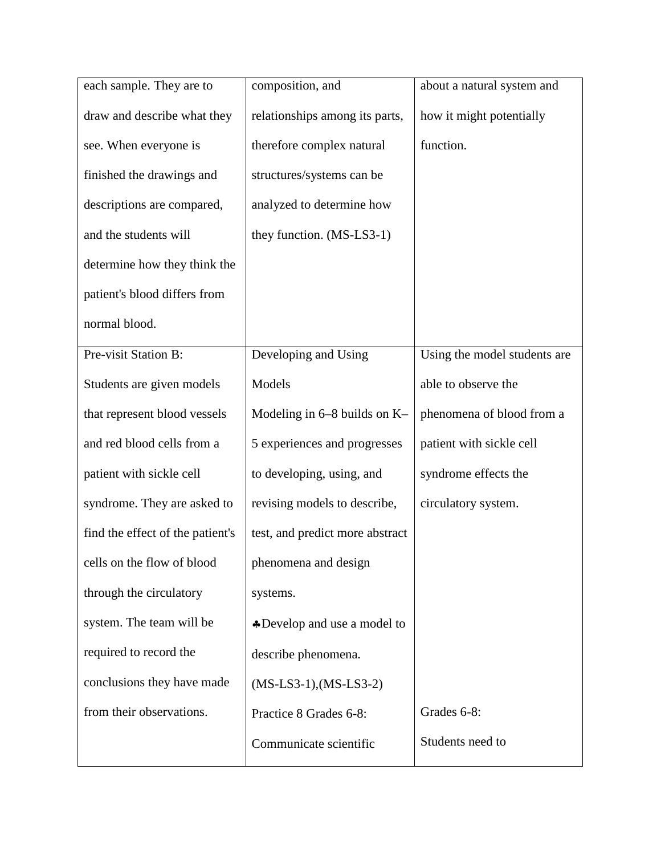| each sample. They are to         | composition, and                | about a natural system and   |
|----------------------------------|---------------------------------|------------------------------|
| draw and describe what they      | relationships among its parts,  | how it might potentially     |
| see. When everyone is            | therefore complex natural       | function.                    |
| finished the drawings and        | structures/systems can be       |                              |
| descriptions are compared,       | analyzed to determine how       |                              |
| and the students will            | they function. (MS-LS3-1)       |                              |
| determine how they think the     |                                 |                              |
| patient's blood differs from     |                                 |                              |
| normal blood.                    |                                 |                              |
| Pre-visit Station B:             | Developing and Using            | Using the model students are |
| Students are given models        | Models                          | able to observe the          |
| that represent blood vessels     | Modeling in $6-8$ builds on K-  | phenomena of blood from a    |
| and red blood cells from a       | 5 experiences and progresses    | patient with sickle cell     |
| patient with sickle cell         | to developing, using, and       | syndrome effects the         |
| syndrome. They are asked to      | revising models to describe,    | circulatory system.          |
| find the effect of the patient's | test, and predict more abstract |                              |
| cells on the flow of blood       | phenomena and design            |                              |
| through the circulatory          | systems.                        |                              |
| system. The team will be         | *Develop and use a model to     |                              |
| required to record the           | describe phenomena.             |                              |
| conclusions they have made       | $(MS-LS3-1)$ , $(MS-LS3-2)$     |                              |
| from their observations.         | Practice 8 Grades 6-8:          | Grades 6-8:                  |
|                                  | Communicate scientific          | Students need to             |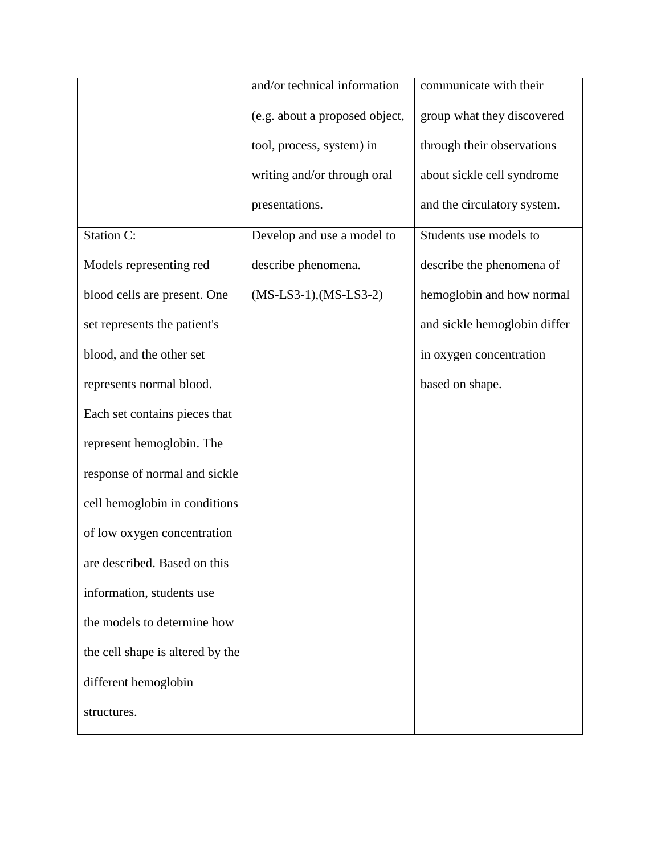|                                  | and/or technical information   | communicate with their       |
|----------------------------------|--------------------------------|------------------------------|
|                                  | (e.g. about a proposed object, | group what they discovered   |
|                                  | tool, process, system) in      | through their observations   |
|                                  | writing and/or through oral    | about sickle cell syndrome   |
|                                  | presentations.                 | and the circulatory system.  |
| <b>Station C:</b>                | Develop and use a model to     | Students use models to       |
| Models representing red          | describe phenomena.            | describe the phenomena of    |
| blood cells are present. One     | $(MS-LS3-1)$ , $(MS-LS3-2)$    | hemoglobin and how normal    |
| set represents the patient's     |                                | and sickle hemoglobin differ |
| blood, and the other set         |                                | in oxygen concentration      |
| represents normal blood.         |                                | based on shape.              |
| Each set contains pieces that    |                                |                              |
| represent hemoglobin. The        |                                |                              |
| response of normal and sickle    |                                |                              |
| cell hemoglobin in conditions    |                                |                              |
| of low oxygen concentration      |                                |                              |
| are described. Based on this     |                                |                              |
| information, students use        |                                |                              |
| the models to determine how      |                                |                              |
| the cell shape is altered by the |                                |                              |
| different hemoglobin             |                                |                              |
| structures.                      |                                |                              |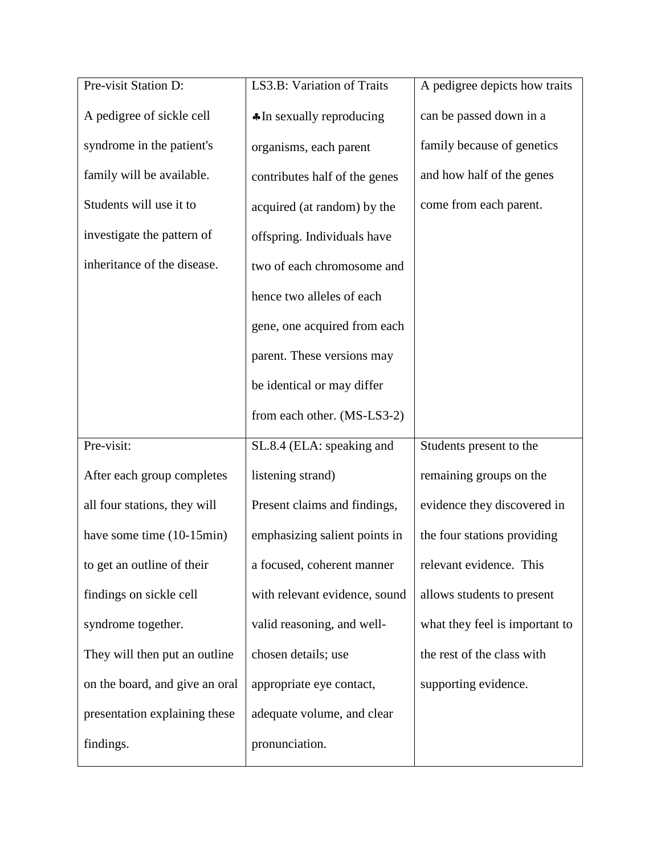| Pre-visit Station D:           | LS3.B: Variation of Traits          | A pedigree depicts how traits  |
|--------------------------------|-------------------------------------|--------------------------------|
| A pedigree of sickle cell      | $\triangle$ In sexually reproducing | can be passed down in a        |
| syndrome in the patient's      | organisms, each parent              | family because of genetics     |
| family will be available.      | contributes half of the genes       | and how half of the genes      |
| Students will use it to        | acquired (at random) by the         | come from each parent.         |
| investigate the pattern of     | offspring. Individuals have         |                                |
| inheritance of the disease.    | two of each chromosome and          |                                |
|                                | hence two alleles of each           |                                |
|                                | gene, one acquired from each        |                                |
|                                | parent. These versions may          |                                |
|                                | be identical or may differ          |                                |
|                                | from each other. (MS-LS3-2)         |                                |
| Pre-visit:                     | SL.8.4 (ELA: speaking and           | Students present to the        |
| After each group completes     | listening strand)                   | remaining groups on the        |
| all four stations, they will   | Present claims and findings,        | evidence they discovered in    |
| have some time (10-15min)      | emphasizing salient points in       | the four stations providing    |
| to get an outline of their     | a focused, coherent manner          | relevant evidence. This        |
| findings on sickle cell        | with relevant evidence, sound       | allows students to present     |
| syndrome together.             | valid reasoning, and well-          | what they feel is important to |
| They will then put an outline  | chosen details; use                 | the rest of the class with     |
| on the board, and give an oral | appropriate eye contact,            | supporting evidence.           |
| presentation explaining these  | adequate volume, and clear          |                                |
| findings.                      | pronunciation.                      |                                |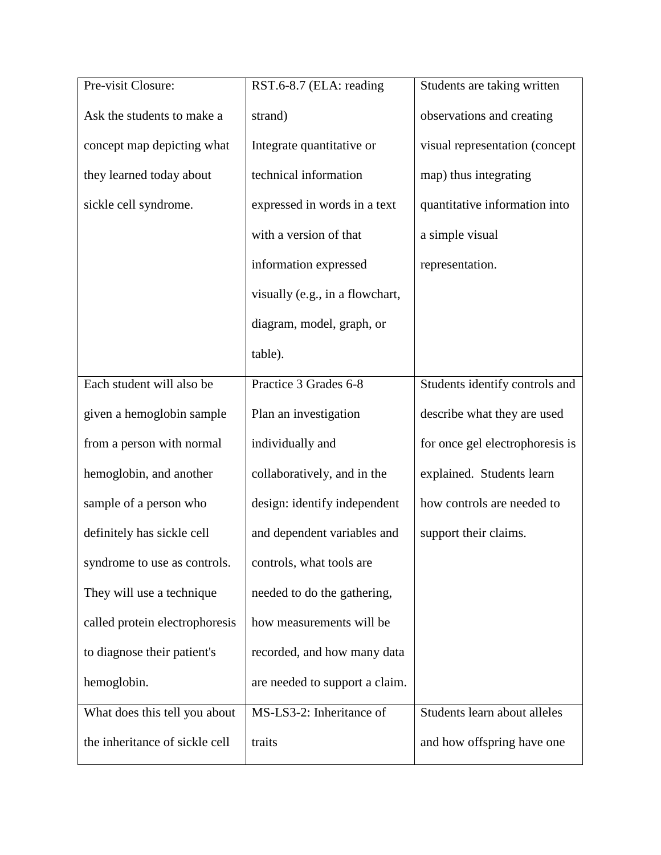| Pre-visit Closure:             | RST.6-8.7 (ELA: reading         | Students are taking written     |
|--------------------------------|---------------------------------|---------------------------------|
| Ask the students to make a     | strand)                         | observations and creating       |
| concept map depicting what     | Integrate quantitative or       | visual representation (concept  |
| they learned today about       | technical information           | map) thus integrating           |
| sickle cell syndrome.          | expressed in words in a text    | quantitative information into   |
|                                | with a version of that          | a simple visual                 |
|                                | information expressed           | representation.                 |
|                                | visually (e.g., in a flowchart, |                                 |
|                                | diagram, model, graph, or       |                                 |
|                                | table).                         |                                 |
| Each student will also be      | Practice 3 Grades 6-8           | Students identify controls and  |
| given a hemoglobin sample      | Plan an investigation           | describe what they are used     |
| from a person with normal      | individually and                | for once gel electrophoresis is |
| hemoglobin, and another        | collaboratively, and in the     | explained. Students learn       |
| sample of a person who         | design: identify independent    | how controls are needed to      |
| definitely has sickle cell     | and dependent variables and     | support their claims.           |
| syndrome to use as controls.   | controls, what tools are        |                                 |
| They will use a technique      | needed to do the gathering,     |                                 |
| called protein electrophoresis | how measurements will be        |                                 |
| to diagnose their patient's    | recorded, and how many data     |                                 |
| hemoglobin.                    | are needed to support a claim.  |                                 |
| What does this tell you about  | MS-LS3-2: Inheritance of        | Students learn about alleles    |
| the inheritance of sickle cell | traits                          | and how offspring have one      |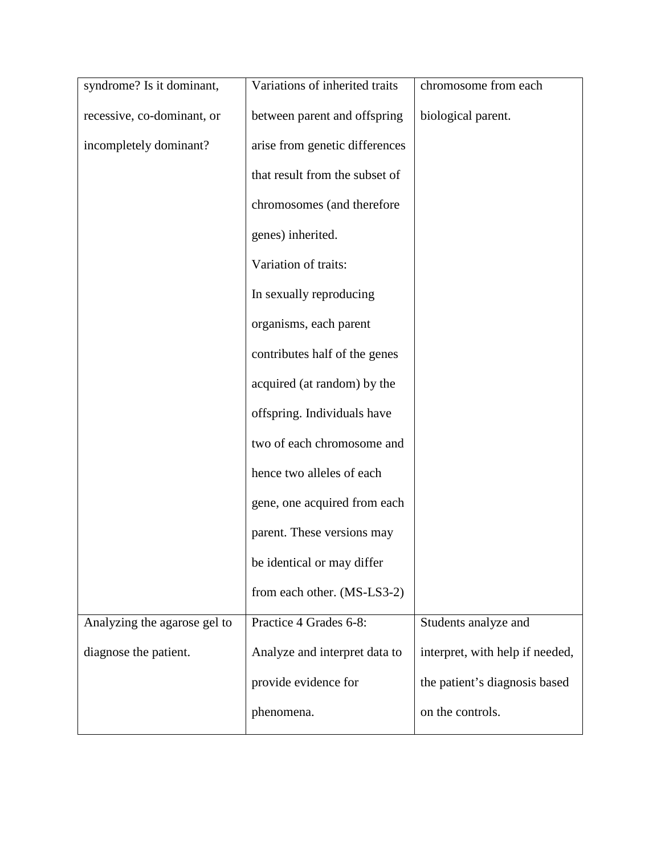| syndrome? Is it dominant,    | Variations of inherited traits | chromosome from each            |
|------------------------------|--------------------------------|---------------------------------|
| recessive, co-dominant, or   | between parent and offspring   | biological parent.              |
| incompletely dominant?       | arise from genetic differences |                                 |
|                              | that result from the subset of |                                 |
|                              | chromosomes (and therefore     |                                 |
|                              | genes) inherited.              |                                 |
|                              | Variation of traits:           |                                 |
|                              | In sexually reproducing        |                                 |
|                              | organisms, each parent         |                                 |
|                              | contributes half of the genes  |                                 |
|                              | acquired (at random) by the    |                                 |
|                              | offspring. Individuals have    |                                 |
|                              | two of each chromosome and     |                                 |
|                              | hence two alleles of each      |                                 |
|                              | gene, one acquired from each   |                                 |
|                              | parent. These versions may     |                                 |
|                              | be identical or may differ     |                                 |
|                              | from each other. (MS-LS3-2)    |                                 |
| Analyzing the agarose gel to | Practice 4 Grades 6-8:         | Students analyze and            |
| diagnose the patient.        | Analyze and interpret data to  | interpret, with help if needed, |
|                              | provide evidence for           | the patient's diagnosis based   |
|                              | phenomena.                     | on the controls.                |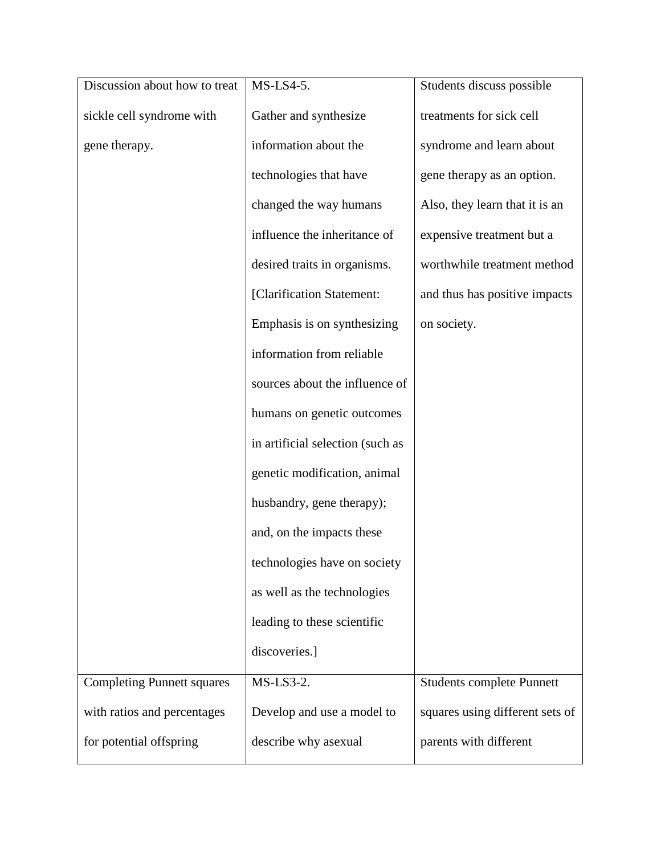| Discussion about how to treat     | $MS$ -LS4-5.                     | Students discuss possible        |
|-----------------------------------|----------------------------------|----------------------------------|
| sickle cell syndrome with         | Gather and synthesize            | treatments for sick cell         |
| gene therapy.                     | information about the            | syndrome and learn about         |
|                                   | technologies that have           | gene therapy as an option.       |
|                                   | changed the way humans           | Also, they learn that it is an   |
|                                   | influence the inheritance of     | expensive treatment but a        |
|                                   | desired traits in organisms.     | worthwhile treatment method      |
|                                   | [Clarification Statement:        | and thus has positive impacts    |
|                                   | Emphasis is on synthesizing      | on society.                      |
|                                   | information from reliable        |                                  |
|                                   | sources about the influence of   |                                  |
|                                   | humans on genetic outcomes       |                                  |
|                                   | in artificial selection (such as |                                  |
|                                   | genetic modification, animal     |                                  |
|                                   | husbandry, gene therapy);        |                                  |
|                                   | and, on the impacts these        |                                  |
|                                   | technologies have on society     |                                  |
|                                   | as well as the technologies      |                                  |
|                                   | leading to these scientific      |                                  |
|                                   | discoveries.]                    |                                  |
| <b>Completing Punnett squares</b> | MS-LS3-2.                        | <b>Students complete Punnett</b> |
| with ratios and percentages       | Develop and use a model to       | squares using different sets of  |
| for potential offspring           | describe why asexual             | parents with different           |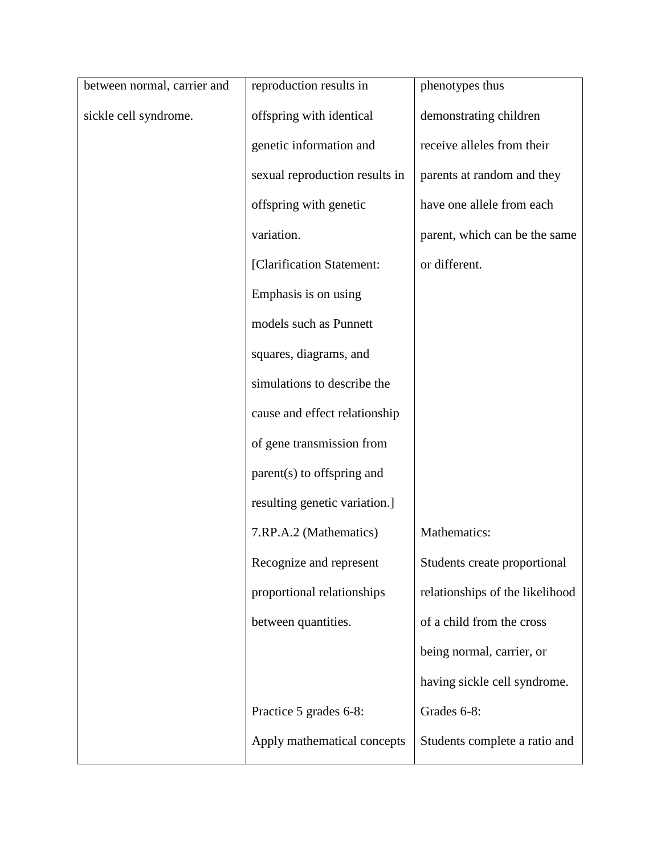| between normal, carrier and | reproduction results in        | phenotypes thus                 |
|-----------------------------|--------------------------------|---------------------------------|
| sickle cell syndrome.       | offspring with identical       | demonstrating children          |
|                             | genetic information and        | receive alleles from their      |
|                             | sexual reproduction results in | parents at random and they      |
|                             | offspring with genetic         | have one allele from each       |
|                             | variation.                     | parent, which can be the same   |
|                             | [Clarification Statement:      | or different.                   |
|                             | Emphasis is on using           |                                 |
|                             | models such as Punnett         |                                 |
|                             | squares, diagrams, and         |                                 |
|                             | simulations to describe the    |                                 |
|                             | cause and effect relationship  |                                 |
|                             | of gene transmission from      |                                 |
|                             | parent(s) to offspring and     |                                 |
|                             | resulting genetic variation.]  |                                 |
|                             | 7.RP.A.2 (Mathematics)         | Mathematics:                    |
|                             | Recognize and represent        | Students create proportional    |
|                             | proportional relationships     | relationships of the likelihood |
|                             | between quantities.            | of a child from the cross       |
|                             |                                | being normal, carrier, or       |
|                             |                                | having sickle cell syndrome.    |
|                             | Practice 5 grades 6-8:         | Grades 6-8:                     |
|                             | Apply mathematical concepts    | Students complete a ratio and   |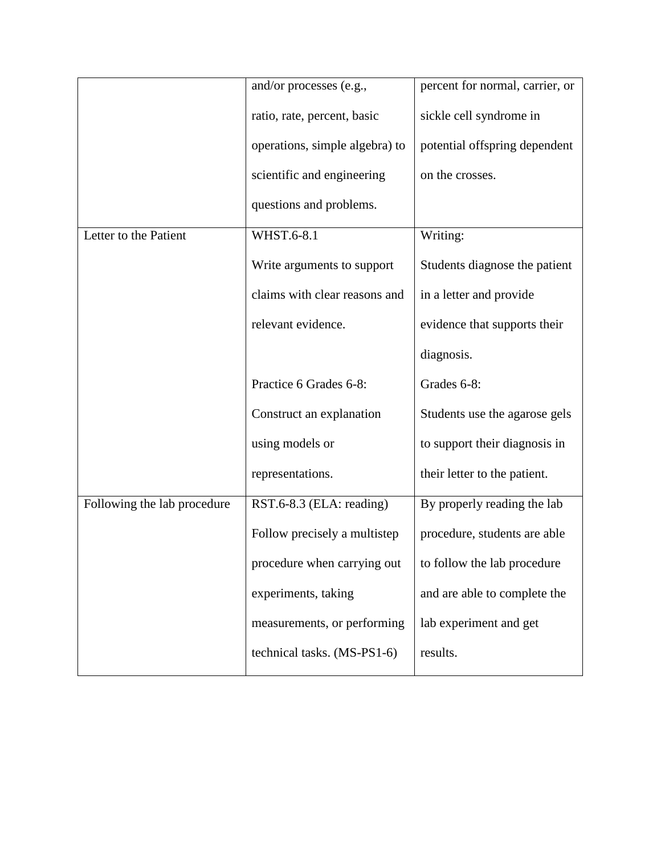|                             | and/or processes (e.g.,        | percent for normal, carrier, or |
|-----------------------------|--------------------------------|---------------------------------|
|                             | ratio, rate, percent, basic    | sickle cell syndrome in         |
|                             | operations, simple algebra) to | potential offspring dependent   |
|                             | scientific and engineering     | on the crosses.                 |
|                             | questions and problems.        |                                 |
| Letter to the Patient       | <b>WHST.6-8.1</b>              | Writing:                        |
|                             | Write arguments to support     | Students diagnose the patient   |
|                             | claims with clear reasons and  | in a letter and provide         |
|                             | relevant evidence.             | evidence that supports their    |
|                             |                                | diagnosis.                      |
|                             | Practice 6 Grades 6-8:         | Grades 6-8:                     |
|                             | Construct an explanation       | Students use the agarose gels   |
|                             | using models or                | to support their diagnosis in   |
|                             | representations.               | their letter to the patient.    |
| Following the lab procedure | RST.6-8.3 (ELA: reading)       | By properly reading the lab     |
|                             | Follow precisely a multistep   | procedure, students are able    |
|                             | procedure when carrying out    | to follow the lab procedure     |
|                             | experiments, taking            | and are able to complete the    |
|                             | measurements, or performing    | lab experiment and get          |
|                             | technical tasks. (MS-PS1-6)    | results.                        |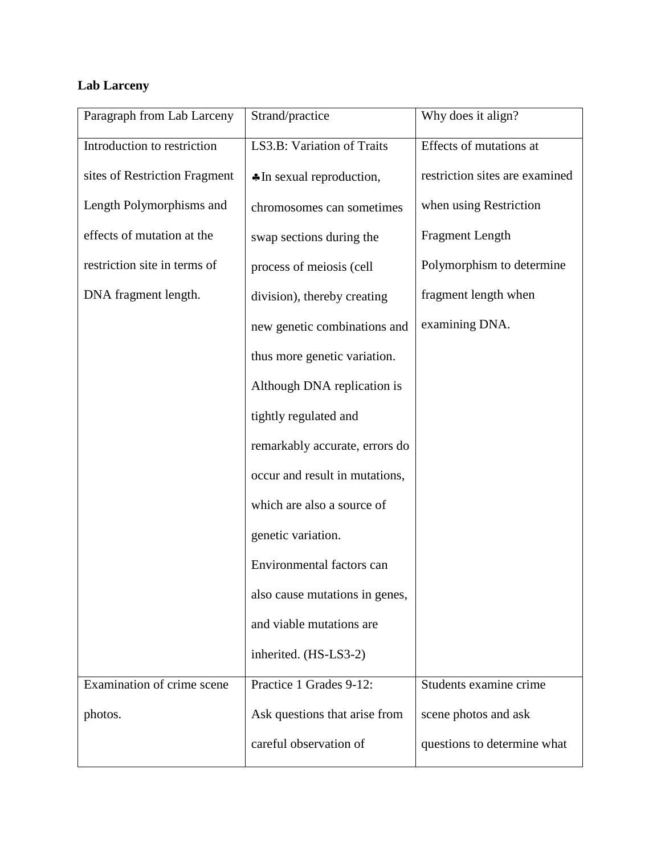## **Lab Larceny**

| Paragraph from Lab Larceny    | Strand/practice                | Why does it align?             |
|-------------------------------|--------------------------------|--------------------------------|
| Introduction to restriction   | LS3.B: Variation of Traits     | Effects of mutations at        |
| sites of Restriction Fragment | *In sexual reproduction,       | restriction sites are examined |
| Length Polymorphisms and      | chromosomes can sometimes      | when using Restriction         |
| effects of mutation at the    | swap sections during the       | <b>Fragment Length</b>         |
| restriction site in terms of  | process of meiosis (cell       | Polymorphism to determine      |
| DNA fragment length.          | division), thereby creating    | fragment length when           |
|                               | new genetic combinations and   | examining DNA.                 |
|                               | thus more genetic variation.   |                                |
|                               | Although DNA replication is    |                                |
|                               | tightly regulated and          |                                |
|                               | remarkably accurate, errors do |                                |
|                               | occur and result in mutations, |                                |
|                               | which are also a source of     |                                |
|                               | genetic variation.             |                                |
|                               | Environmental factors can      |                                |
|                               | also cause mutations in genes, |                                |
|                               | and viable mutations are       |                                |
|                               | inherited. (HS-LS3-2)          |                                |
| Examination of crime scene    | Practice 1 Grades 9-12:        | Students examine crime         |
| photos.                       | Ask questions that arise from  | scene photos and ask           |
|                               | careful observation of         | questions to determine what    |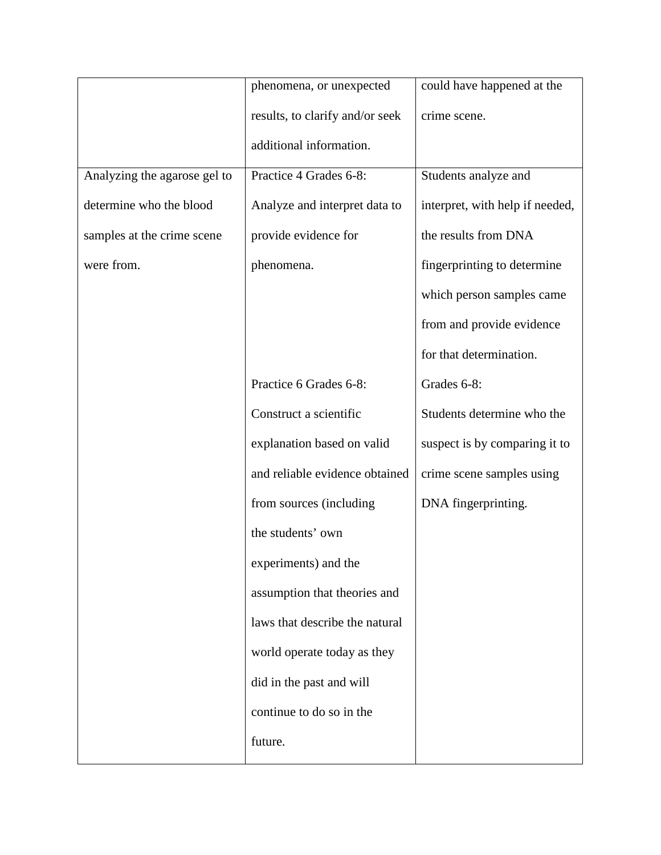|                              | phenomena, or unexpected        | could have happened at the      |
|------------------------------|---------------------------------|---------------------------------|
|                              | results, to clarify and/or seek | crime scene.                    |
|                              | additional information.         |                                 |
| Analyzing the agarose gel to | Practice 4 Grades 6-8:          | Students analyze and            |
| determine who the blood      | Analyze and interpret data to   | interpret, with help if needed, |
| samples at the crime scene   | provide evidence for            | the results from DNA            |
| were from.                   | phenomena.                      | fingerprinting to determine     |
|                              |                                 | which person samples came       |
|                              |                                 | from and provide evidence       |
|                              |                                 | for that determination.         |
|                              | Practice 6 Grades 6-8:          | Grades 6-8:                     |
|                              | Construct a scientific          | Students determine who the      |
|                              | explanation based on valid      | suspect is by comparing it to   |
|                              | and reliable evidence obtained  | crime scene samples using       |
|                              | from sources (including         | DNA fingerprinting.             |
|                              | the students' own               |                                 |
|                              | experiments) and the            |                                 |
|                              | assumption that theories and    |                                 |
|                              | laws that describe the natural  |                                 |
|                              | world operate today as they     |                                 |
|                              | did in the past and will        |                                 |
|                              | continue to do so in the        |                                 |
|                              | future.                         |                                 |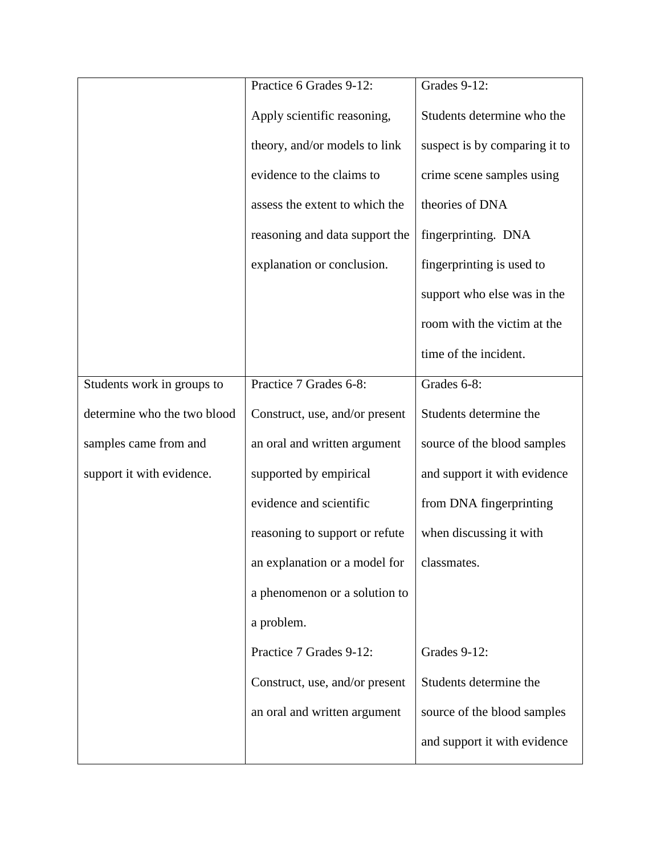|                             | Practice 6 Grades 9-12:        | Grades 9-12:                  |
|-----------------------------|--------------------------------|-------------------------------|
|                             | Apply scientific reasoning,    | Students determine who the    |
|                             | theory, and/or models to link  | suspect is by comparing it to |
|                             | evidence to the claims to      | crime scene samples using     |
|                             | assess the extent to which the | theories of DNA               |
|                             | reasoning and data support the | fingerprinting. DNA           |
|                             | explanation or conclusion.     | fingerprinting is used to     |
|                             |                                | support who else was in the   |
|                             |                                | room with the victim at the   |
|                             |                                | time of the incident.         |
| Students work in groups to  | Practice 7 Grades 6-8:         | Grades 6-8:                   |
| determine who the two blood | Construct, use, and/or present | Students determine the        |
| samples came from and       | an oral and written argument   | source of the blood samples   |
| support it with evidence.   | supported by empirical         | and support it with evidence  |
|                             | evidence and scientific        | from DNA fingerprinting       |
|                             | reasoning to support or refute | when discussing it with       |
|                             | an explanation or a model for  | classmates.                   |
|                             | a phenomenon or a solution to  |                               |
|                             | a problem.                     |                               |
|                             | Practice 7 Grades 9-12:        | Grades 9-12:                  |
|                             | Construct, use, and/or present | Students determine the        |
|                             | an oral and written argument   | source of the blood samples   |
|                             |                                | and support it with evidence  |